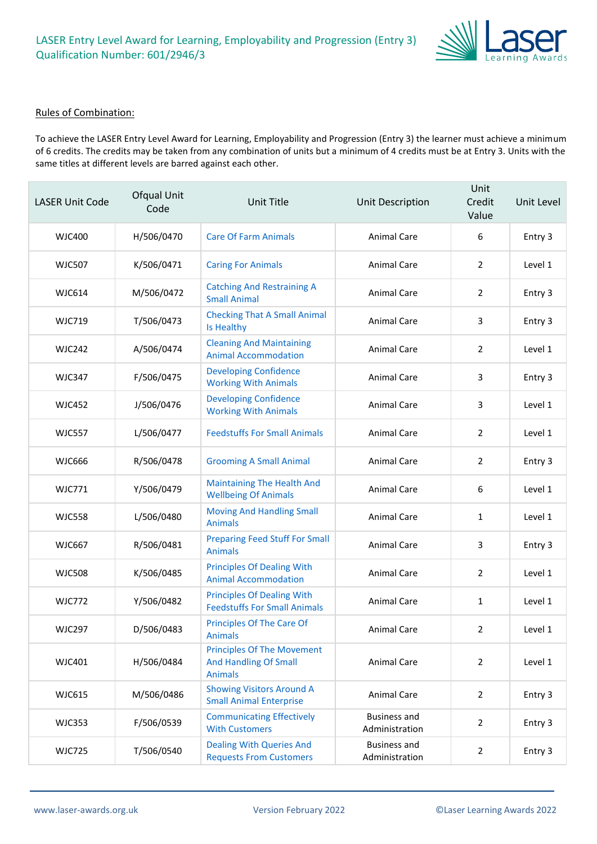

#### Rules of Combination:

To achieve the LASER Entry Level Award for Learning, Employability and Progression (Entry 3) the learner must achieve a minimum of 6 credits. The credits may be taken from any combination of units but a minimum of 4 credits must be at Entry 3. Units with the same titles at different levels are barred against each other.

| <b>LASER Unit Code</b> | Ofqual Unit<br>Code | Unit Title                                                                          | Unit Description                      | Unit<br>Credit<br>Value | Unit Level |
|------------------------|---------------------|-------------------------------------------------------------------------------------|---------------------------------------|-------------------------|------------|
| WJC400                 | H/506/0470          | <b>Care Of Farm Animals</b>                                                         | <b>Animal Care</b>                    | 6                       | Entry 3    |
| <b>WJC507</b>          | K/506/0471          | <b>Caring For Animals</b>                                                           | Animal Care                           | 2                       | Level 1    |
| <b>WJC614</b>          | M/506/0472          | <b>Catching And Restraining A</b><br><b>Small Animal</b>                            | <b>Animal Care</b>                    | $\overline{2}$          | Entry 3    |
| WJC719                 | T/506/0473          | <b>Checking That A Small Animal</b><br>Is Healthy                                   | Animal Care                           | 3                       | Entry 3    |
| <b>WJC242</b>          | A/506/0474          | <b>Cleaning And Maintaining</b><br><b>Animal Accommodation</b>                      | Animal Care                           | $\overline{2}$          | Level 1    |
| <b>WJC347</b>          | F/506/0475          | <b>Developing Confidence</b><br><b>Working With Animals</b>                         | Animal Care                           | 3                       | Entry 3    |
| <b>WJC452</b>          | J/506/0476          | <b>Developing Confidence</b><br><b>Working With Animals</b>                         | Animal Care                           | 3                       | Level 1    |
| <b>WJC557</b>          | L/506/0477          | <b>Feedstuffs For Small Animals</b>                                                 | <b>Animal Care</b>                    | 2                       | Level 1    |
| <b>WJC666</b>          | R/506/0478          | <b>Grooming A Small Animal</b>                                                      | Animal Care                           | $\overline{2}$          | Entry 3    |
| <b>WJC771</b>          | Y/506/0479          | <b>Maintaining The Health And</b><br><b>Wellbeing Of Animals</b>                    | Animal Care                           | 6                       | Level 1    |
| <b>WJC558</b>          | L/506/0480          | <b>Moving And Handling Small</b><br><b>Animals</b>                                  | Animal Care                           | $\mathbf{1}$            | Level 1    |
| <b>WJC667</b>          | R/506/0481          | <b>Preparing Feed Stuff For Small</b><br><b>Animals</b>                             | Animal Care                           | 3                       | Entry 3    |
| <b>WJC508</b>          | K/506/0485          | <b>Principles Of Dealing With</b><br><b>Animal Accommodation</b>                    | Animal Care                           | 2                       | Level 1    |
| <b>WJC772</b>          | Y/506/0482          | <b>Principles Of Dealing With</b><br><b>Feedstuffs For Small Animals</b>            | Animal Care                           | $\mathbf{1}$            | Level 1    |
| <b>WJC297</b>          | D/506/0483          | <b>Principles Of The Care Of</b><br><b>Animals</b>                                  | Animal Care                           | 2                       | Level 1    |
| WJC401                 | H/506/0484          | <b>Principles Of The Movement</b><br><b>And Handling Of Small</b><br><b>Animals</b> | <b>Animal Care</b>                    | $\overline{2}$          | Level 1    |
| <b>WJC615</b>          | M/506/0486          | <b>Showing Visitors Around A</b><br><b>Small Animal Enterprise</b>                  | <b>Animal Care</b>                    | $\overline{2}$          | Entry 3    |
| <b>WJC353</b>          | F/506/0539          | <b>Communicating Effectively</b><br><b>With Customers</b>                           | <b>Business and</b><br>Administration | 2                       | Entry 3    |
| <b>WJC725</b>          | T/506/0540          | <b>Dealing With Queries And</b><br><b>Requests From Customers</b>                   | <b>Business and</b><br>Administration | $\overline{2}$          | Entry 3    |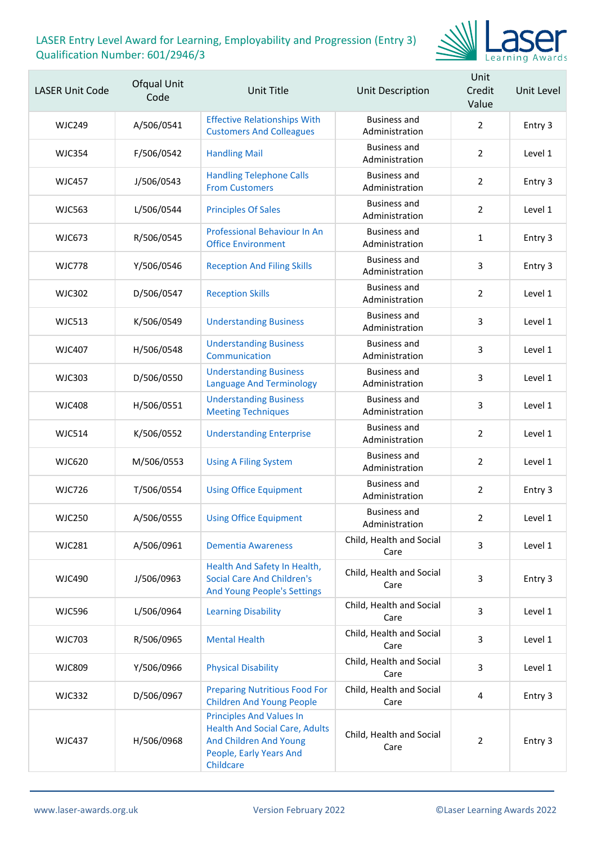

| <b>LASER Unit Code</b> | Ofqual Unit<br>Code | Unit Title                                                                                                                                 | Unit Description                      | Unit<br>Credit<br>Value | Unit Level |
|------------------------|---------------------|--------------------------------------------------------------------------------------------------------------------------------------------|---------------------------------------|-------------------------|------------|
| <b>WJC249</b>          | A/506/0541          | <b>Effective Relationships With</b><br><b>Customers And Colleagues</b>                                                                     | <b>Business and</b><br>Administration | $\overline{2}$          | Entry 3    |
| <b>WJC354</b>          | F/506/0542          | <b>Handling Mail</b>                                                                                                                       | <b>Business and</b><br>Administration | $\overline{2}$          | Level 1    |
| <b>WJC457</b>          | J/506/0543          | <b>Handling Telephone Calls</b><br><b>From Customers</b>                                                                                   | <b>Business and</b><br>Administration | $\overline{2}$          | Entry 3    |
| <b>WJC563</b>          | L/506/0544          | <b>Principles Of Sales</b>                                                                                                                 | <b>Business and</b><br>Administration | $\overline{2}$          | Level 1    |
| <b>WJC673</b>          | R/506/0545          | Professional Behaviour In An<br><b>Office Environment</b>                                                                                  | <b>Business and</b><br>Administration | $\mathbf{1}$            | Entry 3    |
| <b>WJC778</b>          | Y/506/0546          | <b>Reception And Filing Skills</b>                                                                                                         | <b>Business and</b><br>Administration | 3                       | Entry 3    |
| <b>WJC302</b>          | D/506/0547          | <b>Reception Skills</b>                                                                                                                    | <b>Business and</b><br>Administration | $\overline{2}$          | Level 1    |
| <b>WJC513</b>          | K/506/0549          | <b>Understanding Business</b>                                                                                                              | <b>Business and</b><br>Administration | 3                       | Level 1    |
| <b>WJC407</b>          | H/506/0548          | <b>Understanding Business</b><br>Communication                                                                                             | <b>Business and</b><br>Administration | 3                       | Level 1    |
| <b>WJC303</b>          | D/506/0550          | <b>Understanding Business</b><br><b>Language And Terminology</b>                                                                           | <b>Business and</b><br>Administration | 3                       | Level 1    |
| <b>WJC408</b>          | H/506/0551          | <b>Understanding Business</b><br><b>Meeting Techniques</b>                                                                                 | <b>Business and</b><br>Administration | 3                       | Level 1    |
| <b>WJC514</b>          | K/506/0552          | <b>Understanding Enterprise</b>                                                                                                            | <b>Business and</b><br>Administration | $\overline{2}$          | Level 1    |
| <b>WJC620</b>          | M/506/0553          | <b>Using A Filing System</b>                                                                                                               | <b>Business and</b><br>Administration | $\overline{2}$          | Level 1    |
| <b>WJC726</b>          | T/506/0554          | <b>Using Office Equipment</b>                                                                                                              | <b>Business and</b><br>Administration | $\overline{2}$          | Entry 3    |
| <b>WJC250</b>          | A/506/0555          | <b>Using Office Equipment</b>                                                                                                              | <b>Business and</b><br>Administration | 2                       | Level 1    |
| <b>WJC281</b>          | A/506/0961          | <b>Dementia Awareness</b>                                                                                                                  | Child, Health and Social<br>Care      | 3                       | Level 1    |
| <b>WJC490</b>          | J/506/0963          | Health And Safety In Health,<br><b>Social Care And Children's</b><br>And Young People's Settings                                           | Child, Health and Social<br>Care      | 3                       | Entry 3    |
| <b>WJC596</b>          | L/506/0964          | <b>Learning Disability</b>                                                                                                                 | Child, Health and Social<br>Care      | 3                       | Level 1    |
| <b>WJC703</b>          | R/506/0965          | <b>Mental Health</b>                                                                                                                       | Child, Health and Social<br>Care      | 3                       | Level 1    |
| <b>WJC809</b>          | Y/506/0966          | <b>Physical Disability</b>                                                                                                                 | Child, Health and Social<br>Care      | 3                       | Level 1    |
| <b>WJC332</b>          | D/506/0967          | <b>Preparing Nutritious Food For</b><br><b>Children And Young People</b>                                                                   | Child, Health and Social<br>Care      | 4                       | Entry 3    |
| <b>WJC437</b>          | H/506/0968          | <b>Principles And Values In</b><br><b>Health And Social Care, Adults</b><br>And Children And Young<br>People, Early Years And<br>Childcare | Child, Health and Social<br>Care      | $\overline{2}$          | Entry 3    |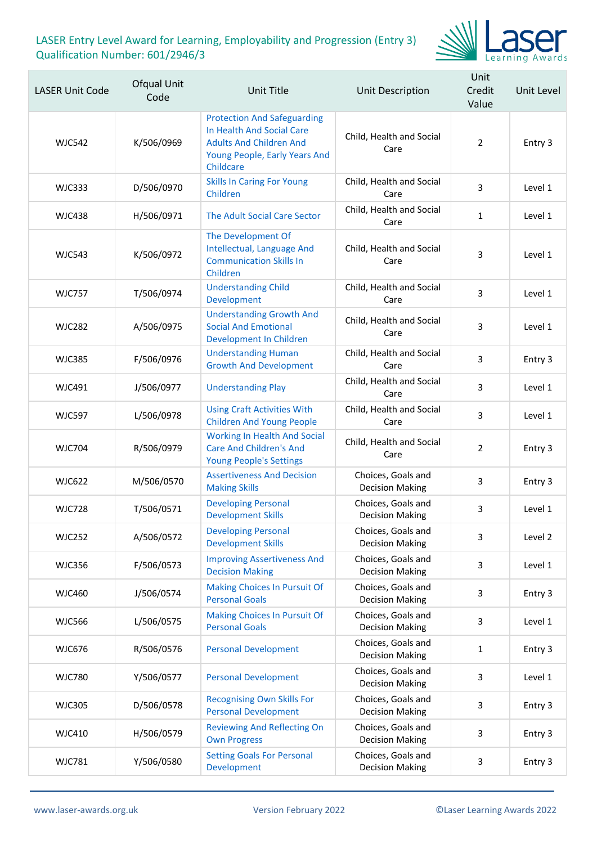

| <b>LASER Unit Code</b> | <b>Ofqual Unit</b><br>Code | Unit Title                                                                                                                                      | Unit Description                             | Unit<br>Credit<br>Value | Unit Level |
|------------------------|----------------------------|-------------------------------------------------------------------------------------------------------------------------------------------------|----------------------------------------------|-------------------------|------------|
| <b>WJC542</b>          | K/506/0969                 | <b>Protection And Safeguarding</b><br>In Health And Social Care<br><b>Adults And Children And</b><br>Young People, Early Years And<br>Childcare | Child, Health and Social<br>Care             | $\overline{2}$          | Entry 3    |
| <b>WJC333</b>          | D/506/0970                 | <b>Skills In Caring For Young</b><br>Children                                                                                                   | Child, Health and Social<br>Care             | 3                       | Level 1    |
| <b>WJC438</b>          | H/506/0971                 | The Adult Social Care Sector                                                                                                                    | Child, Health and Social<br>Care             | $\mathbf{1}$            | Level 1    |
| <b>WJC543</b>          | K/506/0972                 | The Development Of<br>Intellectual, Language And<br><b>Communication Skills In</b><br>Children                                                  | Child, Health and Social<br>Care             | 3                       | Level 1    |
| <b>WJC757</b>          | T/506/0974                 | <b>Understanding Child</b><br>Development                                                                                                       | Child, Health and Social<br>Care             | 3                       | Level 1    |
| <b>WJC282</b>          | A/506/0975                 | <b>Understanding Growth And</b><br><b>Social And Emotional</b><br>Development In Children                                                       | Child, Health and Social<br>Care             | 3                       | Level 1    |
| <b>WJC385</b>          | F/506/0976                 | <b>Understanding Human</b><br><b>Growth And Development</b>                                                                                     | Child, Health and Social<br>Care             | 3                       | Entry 3    |
| <b>WJC491</b>          | J/506/0977                 | <b>Understanding Play</b>                                                                                                                       | Child, Health and Social<br>Care             | 3                       | Level 1    |
| <b>WJC597</b>          | L/506/0978                 | <b>Using Craft Activities With</b><br><b>Children And Young People</b>                                                                          | Child, Health and Social<br>Care             | 3                       | Level 1    |
| <b>WJC704</b>          | R/506/0979                 | <b>Working In Health And Social</b><br><b>Care And Children's And</b><br><b>Young People's Settings</b>                                         | Child, Health and Social<br>Care             | $\overline{2}$          | Entry 3    |
| <b>WJC622</b>          | M/506/0570                 | <b>Assertiveness And Decision</b><br><b>Making Skills</b>                                                                                       | Choices, Goals and<br><b>Decision Making</b> | 3                       | Entry 3    |
| <b>WJC728</b>          | T/506/0571                 | <b>Developing Personal</b><br><b>Development Skills</b>                                                                                         | Choices, Goals and<br><b>Decision Making</b> | 3                       | Level 1    |
| <b>WJC252</b>          | A/506/0572                 | <b>Developing Personal</b><br><b>Development Skills</b>                                                                                         | Choices, Goals and<br><b>Decision Making</b> | 3                       | Level 2    |
| <b>WJC356</b>          | F/506/0573                 | <b>Improving Assertiveness And</b><br><b>Decision Making</b>                                                                                    | Choices, Goals and<br><b>Decision Making</b> | 3                       | Level 1    |
| <b>WJC460</b>          | J/506/0574                 | <b>Making Choices In Pursuit Of</b><br><b>Personal Goals</b>                                                                                    | Choices, Goals and<br><b>Decision Making</b> | 3                       | Entry 3    |
| <b>WJC566</b>          | L/506/0575                 | <b>Making Choices In Pursuit Of</b><br><b>Personal Goals</b>                                                                                    | Choices, Goals and<br><b>Decision Making</b> | 3                       | Level 1    |
| <b>WJC676</b>          | R/506/0576                 | <b>Personal Development</b>                                                                                                                     | Choices, Goals and<br><b>Decision Making</b> | 1                       | Entry 3    |
| <b>WJC780</b>          | Y/506/0577                 | <b>Personal Development</b>                                                                                                                     | Choices, Goals and<br><b>Decision Making</b> | 3                       | Level 1    |
| <b>WJC305</b>          | D/506/0578                 | <b>Recognising Own Skills For</b><br><b>Personal Development</b>                                                                                | Choices, Goals and<br><b>Decision Making</b> | 3                       | Entry 3    |
| <b>WJC410</b>          | H/506/0579                 | <b>Reviewing And Reflecting On</b><br><b>Own Progress</b>                                                                                       | Choices, Goals and<br><b>Decision Making</b> | 3                       | Entry 3    |
| <b>WJC781</b>          | Y/506/0580                 | <b>Setting Goals For Personal</b><br>Development                                                                                                | Choices, Goals and<br><b>Decision Making</b> | 3                       | Entry 3    |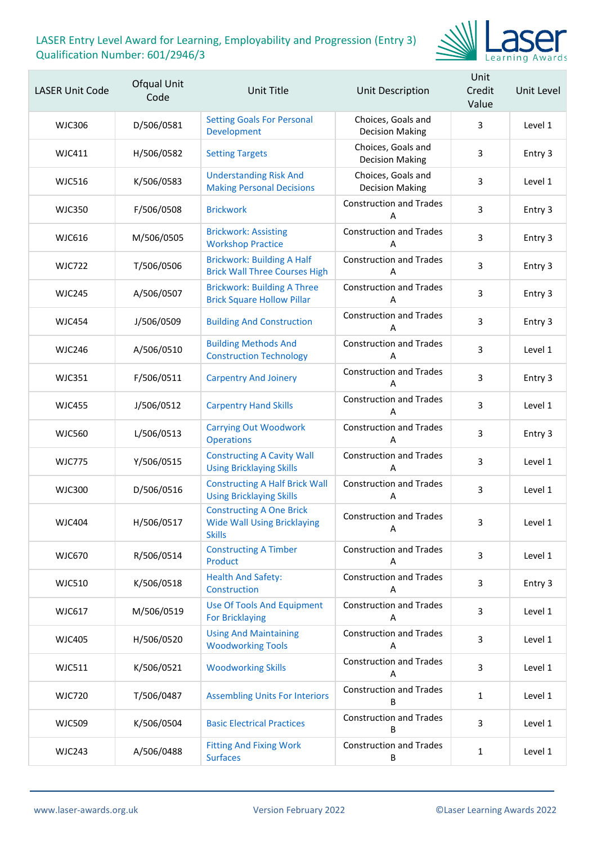

| <b>LASER Unit Code</b> | Ofqual Unit<br>Code | Unit Title                                                                             | Unit Description                             | Unit<br>Credit<br>Value | Unit Level |
|------------------------|---------------------|----------------------------------------------------------------------------------------|----------------------------------------------|-------------------------|------------|
| <b>WJC306</b>          | D/506/0581          | <b>Setting Goals For Personal</b><br>Development                                       | Choices, Goals and<br><b>Decision Making</b> | 3                       | Level 1    |
| <b>WJC411</b>          | H/506/0582          | <b>Setting Targets</b>                                                                 | Choices, Goals and<br><b>Decision Making</b> | 3                       | Entry 3    |
| <b>WJC516</b>          | K/506/0583          | <b>Understanding Risk And</b><br><b>Making Personal Decisions</b>                      | Choices, Goals and<br><b>Decision Making</b> | 3                       | Level 1    |
| <b>WJC350</b>          | F/506/0508          | <b>Brickwork</b>                                                                       | <b>Construction and Trades</b><br>A          | 3                       | Entry 3    |
| <b>WJC616</b>          | M/506/0505          | <b>Brickwork: Assisting</b><br><b>Workshop Practice</b>                                | <b>Construction and Trades</b><br>А          | 3                       | Entry 3    |
| <b>WJC722</b>          | T/506/0506          | <b>Brickwork: Building A Half</b><br><b>Brick Wall Three Courses High</b>              | <b>Construction and Trades</b><br>A          | 3                       | Entry 3    |
| <b>WJC245</b>          | A/506/0507          | <b>Brickwork: Building A Three</b><br><b>Brick Square Hollow Pillar</b>                | <b>Construction and Trades</b><br>A          | 3                       | Entry 3    |
| <b>WJC454</b>          | J/506/0509          | <b>Building And Construction</b>                                                       | <b>Construction and Trades</b><br>А          | 3                       | Entry 3    |
| <b>WJC246</b>          | A/506/0510          | <b>Building Methods And</b><br><b>Construction Technology</b>                          | <b>Construction and Trades</b><br>A          | 3                       | Level 1    |
| <b>WJC351</b>          | F/506/0511          | <b>Carpentry And Joinery</b>                                                           | <b>Construction and Trades</b><br>A          | 3                       | Entry 3    |
| <b>WJC455</b>          | J/506/0512          | <b>Carpentry Hand Skills</b>                                                           | <b>Construction and Trades</b><br>А          | 3                       | Level 1    |
| <b>WJC560</b>          | L/506/0513          | <b>Carrying Out Woodwork</b><br><b>Operations</b>                                      | <b>Construction and Trades</b><br>A          | 3                       | Entry 3    |
| <b>WJC775</b>          | Y/506/0515          | <b>Constructing A Cavity Wall</b><br><b>Using Bricklaying Skills</b>                   | <b>Construction and Trades</b><br>A          | 3                       | Level 1    |
| <b>WJC300</b>          | D/506/0516          | <b>Constructing A Half Brick Wall</b><br><b>Using Bricklaying Skills</b>               | <b>Construction and Trades</b><br>А          | 3                       | Level 1    |
| <b>WJC404</b>          | H/506/0517          | <b>Constructing A One Brick</b><br><b>Wide Wall Using Bricklaying</b><br><b>Skills</b> | <b>Construction and Trades</b><br>A          | 3                       | Level 1    |
| <b>WJC670</b>          | R/506/0514          | <b>Constructing A Timber</b><br>Product                                                | <b>Construction and Trades</b><br>A          | 3                       | Level 1    |
| <b>WJC510</b>          | K/506/0518          | <b>Health And Safety:</b><br>Construction                                              | <b>Construction and Trades</b><br>A          | 3                       | Entry 3    |
| <b>WJC617</b>          | M/506/0519          | <b>Use Of Tools And Equipment</b><br><b>For Bricklaying</b>                            | <b>Construction and Trades</b><br>Α          | 3                       | Level 1    |
| <b>WJC405</b>          | H/506/0520          | <b>Using And Maintaining</b><br><b>Woodworking Tools</b>                               | <b>Construction and Trades</b><br>A          | 3                       | Level 1    |
| <b>WJC511</b>          | K/506/0521          | <b>Woodworking Skills</b>                                                              | <b>Construction and Trades</b><br>A          | 3                       | Level 1    |
| <b>WJC720</b>          | T/506/0487          | <b>Assembling Units For Interiors</b>                                                  | <b>Construction and Trades</b><br>B          | $\mathbf{1}$            | Level 1    |
| <b>WJC509</b>          | K/506/0504          | <b>Basic Electrical Practices</b>                                                      | <b>Construction and Trades</b><br>B          | 3                       | Level 1    |
| <b>WJC243</b>          | A/506/0488          | <b>Fitting And Fixing Work</b><br><b>Surfaces</b>                                      | <b>Construction and Trades</b><br>В          | 1                       | Level 1    |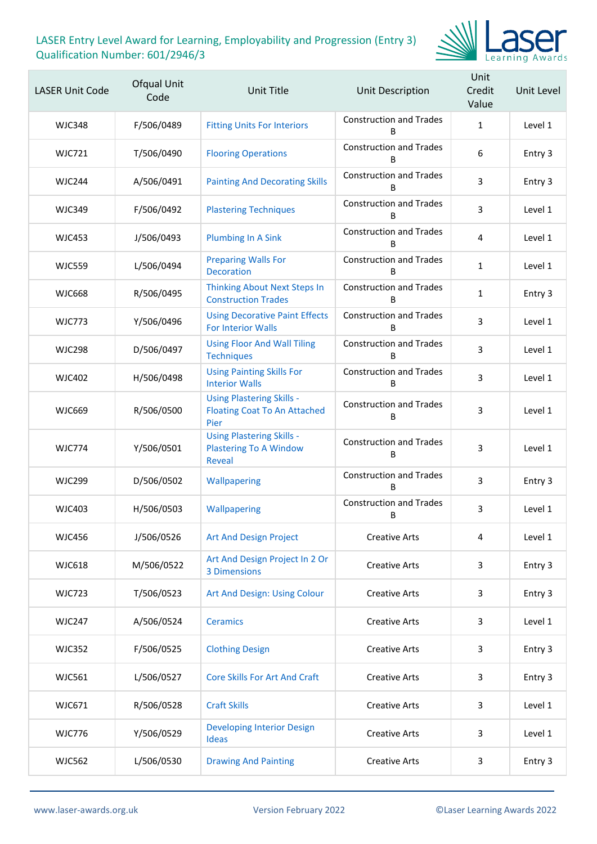

| <b>LASER Unit Code</b> | Ofqual Unit<br>Code | Unit Title                                                                         | Unit Description                    | Unit<br>Credit<br>Value | Unit Level |
|------------------------|---------------------|------------------------------------------------------------------------------------|-------------------------------------|-------------------------|------------|
| <b>WJC348</b>          | F/506/0489          | <b>Fitting Units For Interiors</b>                                                 | <b>Construction and Trades</b><br>B | $\mathbf{1}$            | Level 1    |
| <b>WJC721</b>          | T/506/0490          | <b>Flooring Operations</b>                                                         | <b>Construction and Trades</b><br>B | 6                       | Entry 3    |
| WIC244                 | A/506/0491          | <b>Painting And Decorating Skills</b>                                              | <b>Construction and Trades</b><br>R | 3                       | Entry 3    |
| <b>WJC349</b>          | F/506/0492          | <b>Plastering Techniques</b>                                                       | <b>Construction and Trades</b><br>B | 3                       | Level 1    |
| <b>WJC453</b>          | J/506/0493          | <b>Plumbing In A Sink</b>                                                          | <b>Construction and Trades</b><br>B | 4                       | Level 1    |
| <b>WJC559</b>          | L/506/0494          | <b>Preparing Walls For</b><br><b>Decoration</b>                                    | <b>Construction and Trades</b><br>B | $\mathbf{1}$            | Level 1    |
| <b>WJC668</b>          | R/506/0495          | <b>Thinking About Next Steps In</b><br><b>Construction Trades</b>                  | <b>Construction and Trades</b><br>B | $\mathbf{1}$            | Entry 3    |
| <b>WJC773</b>          | Y/506/0496          | <b>Using Decorative Paint Effects</b><br><b>For Interior Walls</b>                 | <b>Construction and Trades</b><br>B | 3                       | Level 1    |
| <b>WJC298</b>          | D/506/0497          | <b>Using Floor And Wall Tiling</b><br><b>Techniques</b>                            | <b>Construction and Trades</b><br>B | 3                       | Level 1    |
| <b>WJC402</b>          | H/506/0498          | <b>Using Painting Skills For</b><br><b>Interior Walls</b>                          | <b>Construction and Trades</b><br>B | 3                       | Level 1    |
| <b>WJC669</b>          | R/506/0500          | <b>Using Plastering Skills -</b><br><b>Floating Coat To An Attached</b><br>Pier    | <b>Construction and Trades</b><br>B | 3                       | Level 1    |
| <b>WJC774</b>          | Y/506/0501          | <b>Using Plastering Skills -</b><br><b>Plastering To A Window</b><br><b>Reveal</b> | <b>Construction and Trades</b><br>B | 3                       | Level 1    |
| <b>WJC299</b>          | D/506/0502          | Wallpapering                                                                       | <b>Construction and Trades</b><br>B | 3                       | Entry 3    |
| <b>WJC403</b>          | H/506/0503          | Wallpapering                                                                       | <b>Construction and Trades</b><br>B | 3                       | Level 1    |
| <b>WJC456</b>          | J/506/0526          | <b>Art And Design Project</b>                                                      | <b>Creative Arts</b>                | 4                       | Level 1    |
| <b>WJC618</b>          | M/506/0522          | Art And Design Project In 2 Or<br>3 Dimensions                                     | <b>Creative Arts</b>                | 3                       | Entry 3    |
| <b>WJC723</b>          | T/506/0523          | Art And Design: Using Colour                                                       | <b>Creative Arts</b>                | 3                       | Entry 3    |
| <b>WJC247</b>          | A/506/0524          | <b>Ceramics</b>                                                                    | <b>Creative Arts</b>                | 3                       | Level 1    |
| <b>WJC352</b>          | F/506/0525          | <b>Clothing Design</b>                                                             | <b>Creative Arts</b>                | 3                       | Entry 3    |
| <b>WJC561</b>          | L/506/0527          | <b>Core Skills For Art And Craft</b>                                               | <b>Creative Arts</b>                | 3                       | Entry 3    |
| WJC671                 | R/506/0528          | <b>Craft Skills</b>                                                                | <b>Creative Arts</b>                | 3                       | Level 1    |
| <b>WJC776</b>          | Y/506/0529          | <b>Developing Interior Design</b><br><b>Ideas</b>                                  | <b>Creative Arts</b>                | 3                       | Level 1    |
| <b>WJC562</b>          | L/506/0530          | <b>Drawing And Painting</b>                                                        | <b>Creative Arts</b>                | 3                       | Entry 3    |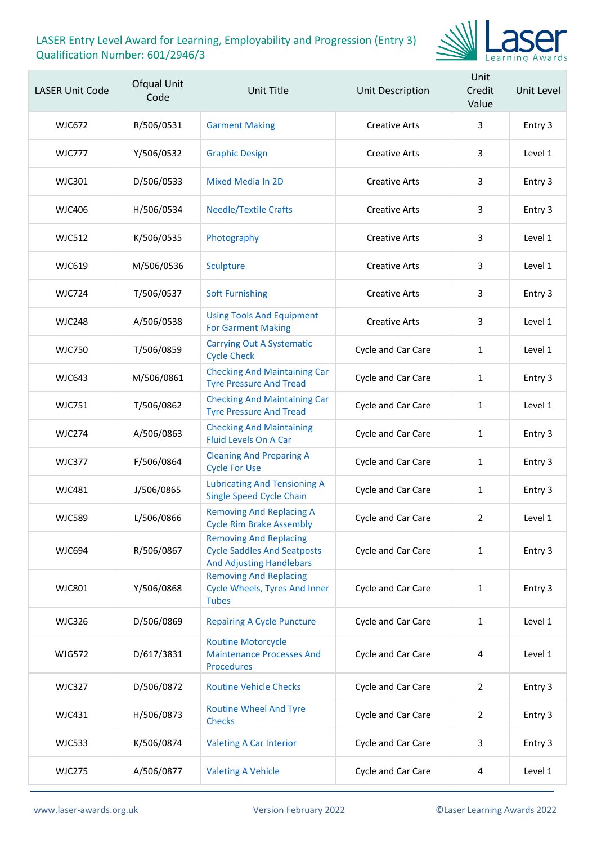

| <b>LASER Unit Code</b> | Ofqual Unit<br>Code | Unit Title                                                                                             | Unit Description     | Unit<br>Credit<br>Value | Unit Level |
|------------------------|---------------------|--------------------------------------------------------------------------------------------------------|----------------------|-------------------------|------------|
| <b>WJC672</b>          | R/506/0531          | <b>Garment Making</b>                                                                                  | <b>Creative Arts</b> | 3                       | Entry 3    |
| <b>WJC777</b>          | Y/506/0532          | <b>Graphic Design</b>                                                                                  | <b>Creative Arts</b> | 3                       | Level 1    |
| <b>WJC301</b>          | D/506/0533          | <b>Mixed Media In 2D</b>                                                                               | <b>Creative Arts</b> | 3                       | Entry 3    |
| <b>WJC406</b>          | H/506/0534          | <b>Needle/Textile Crafts</b>                                                                           | <b>Creative Arts</b> | 3                       | Entry 3    |
| WJC512                 | K/506/0535          | Photography                                                                                            | <b>Creative Arts</b> | 3                       | Level 1    |
| <b>WJC619</b>          | M/506/0536          | Sculpture                                                                                              | <b>Creative Arts</b> | 3                       | Level 1    |
| <b>WJC724</b>          | T/506/0537          | <b>Soft Furnishing</b>                                                                                 | <b>Creative Arts</b> | 3                       | Entry 3    |
| <b>WJC248</b>          | A/506/0538          | <b>Using Tools And Equipment</b><br><b>For Garment Making</b>                                          | <b>Creative Arts</b> | 3                       | Level 1    |
| <b>WJC750</b>          | T/506/0859          | <b>Carrying Out A Systematic</b><br><b>Cycle Check</b>                                                 | Cycle and Car Care   | $\mathbf{1}$            | Level 1    |
| <b>WJC643</b>          | M/506/0861          | <b>Checking And Maintaining Car</b><br><b>Tyre Pressure And Tread</b>                                  | Cycle and Car Care   | 1                       | Entry 3    |
| <b>WJC751</b>          | T/506/0862          | <b>Checking And Maintaining Car</b><br><b>Tyre Pressure And Tread</b>                                  | Cycle and Car Care   | $\mathbf{1}$            | Level 1    |
| <b>WJC274</b>          | A/506/0863          | <b>Checking And Maintaining</b><br><b>Fluid Levels On A Car</b>                                        | Cycle and Car Care   | $\mathbf{1}$            | Entry 3    |
| <b>WJC377</b>          | F/506/0864          | <b>Cleaning And Preparing A</b><br><b>Cycle For Use</b>                                                | Cycle and Car Care   | 1                       | Entry 3    |
| <b>WJC481</b>          | J/506/0865          | <b>Lubricating And Tensioning A</b><br><b>Single Speed Cycle Chain</b>                                 | Cycle and Car Care   | $\mathbf{1}$            | Entry 3    |
| <b>WJC589</b>          | L/506/0866          | <b>Removing And Replacing A</b><br><b>Cycle Rim Brake Assembly</b>                                     | Cycle and Car Care   | $\mathbf{2}^{\prime}$   | Level 1    |
| <b>WJC694</b>          | R/506/0867          | <b>Removing And Replacing</b><br><b>Cycle Saddles And Seatposts</b><br><b>And Adjusting Handlebars</b> | Cycle and Car Care   | $\mathbf{1}$            | Entry 3    |
| <b>WJC801</b>          | Y/506/0868          | <b>Removing And Replacing</b><br><b>Cycle Wheels, Tyres And Inner</b><br><b>Tubes</b>                  | Cycle and Car Care   | $\mathbf{1}$            | Entry 3    |
| <b>WJC326</b>          | D/506/0869          | <b>Repairing A Cycle Puncture</b>                                                                      | Cycle and Car Care   | $\mathbf{1}$            | Level 1    |
| <b>WJG572</b>          | D/617/3831          | <b>Routine Motorcycle</b><br><b>Maintenance Processes And</b><br><b>Procedures</b>                     | Cycle and Car Care   | 4                       | Level 1    |
| <b>WJC327</b>          | D/506/0872          | <b>Routine Vehicle Checks</b>                                                                          | Cycle and Car Care   | $\overline{2}$          | Entry 3    |
| WJC431                 | H/506/0873          | <b>Routine Wheel And Tyre</b><br><b>Checks</b>                                                         | Cycle and Car Care   | $\overline{2}$          | Entry 3    |
| <b>WJC533</b>          | K/506/0874          | <b>Valeting A Car Interior</b>                                                                         | Cycle and Car Care   | 3                       | Entry 3    |
| <b>WJC275</b>          | A/506/0877          | <b>Valeting A Vehicle</b>                                                                              | Cycle and Car Care   | 4                       | Level 1    |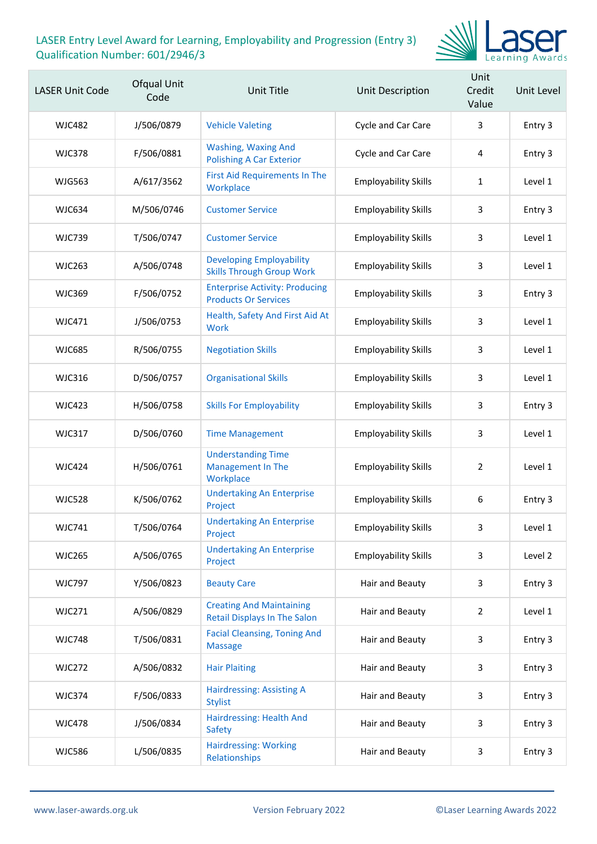

| <b>LASER Unit Code</b> | Ofqual Unit<br>Code | Unit Title                                                             | <b>Unit Description</b>     | Unit<br>Credit<br>Value | Unit Level |
|------------------------|---------------------|------------------------------------------------------------------------|-----------------------------|-------------------------|------------|
| <b>WJC482</b>          | J/506/0879          | <b>Vehicle Valeting</b>                                                | Cycle and Car Care          | 3                       | Entry 3    |
| <b>WJC378</b>          | F/506/0881          | <b>Washing, Waxing And</b><br><b>Polishing A Car Exterior</b>          | Cycle and Car Care          | 4                       | Entry 3    |
| <b>WJG563</b>          | A/617/3562          | <b>First Aid Requirements In The</b><br>Workplace                      | <b>Employability Skills</b> | 1                       | Level 1    |
| <b>WJC634</b>          | M/506/0746          | <b>Customer Service</b>                                                | <b>Employability Skills</b> | 3                       | Entry 3    |
| <b>WJC739</b>          | T/506/0747          | <b>Customer Service</b>                                                | <b>Employability Skills</b> | 3                       | Level 1    |
| <b>WJC263</b>          | A/506/0748          | <b>Developing Employability</b><br><b>Skills Through Group Work</b>    | <b>Employability Skills</b> | 3                       | Level 1    |
| <b>WJC369</b>          | F/506/0752          | <b>Enterprise Activity: Producing</b><br><b>Products Or Services</b>   | <b>Employability Skills</b> | 3                       | Entry 3    |
| WJC471                 | J/506/0753          | Health, Safety And First Aid At<br><b>Work</b>                         | <b>Employability Skills</b> | 3                       | Level 1    |
| <b>WJC685</b>          | R/506/0755          | <b>Negotiation Skills</b>                                              | <b>Employability Skills</b> | 3                       | Level 1    |
| <b>WJC316</b>          | D/506/0757          | <b>Organisational Skills</b>                                           | <b>Employability Skills</b> | 3                       | Level 1    |
| <b>WJC423</b>          | H/506/0758          | <b>Skills For Employability</b>                                        | <b>Employability Skills</b> | 3                       | Entry 3    |
| <b>WJC317</b>          | D/506/0760          | <b>Time Management</b>                                                 | <b>Employability Skills</b> | 3                       | Level 1    |
| <b>WJC424</b>          | H/506/0761          | <b>Understanding Time</b><br><b>Management In The</b><br>Workplace     | <b>Employability Skills</b> | $\overline{2}$          | Level 1    |
| <b>WJC528</b>          | K/506/0762          | <b>Undertaking An Enterprise</b><br>Project                            | <b>Employability Skills</b> | 6                       | Entry 3    |
| <b>WJC741</b>          | T/506/0764          | <b>Undertaking An Enterprise</b><br>Project                            | <b>Employability Skills</b> | 3                       | Level 1    |
| <b>WJC265</b>          | A/506/0765          | <b>Undertaking An Enterprise</b><br>Project                            | <b>Employability Skills</b> | 3                       | Level 2    |
| <b>WJC797</b>          | Y/506/0823          | <b>Beauty Care</b>                                                     | Hair and Beauty             | 3                       | Entry 3    |
| <b>WJC271</b>          | A/506/0829          | <b>Creating And Maintaining</b><br><b>Retail Displays In The Salon</b> | Hair and Beauty             | $\overline{2}$          | Level 1    |
| <b>WJC748</b>          | T/506/0831          | <b>Facial Cleansing, Toning And</b><br><b>Massage</b>                  | Hair and Beauty             | 3                       | Entry 3    |
| <b>WJC272</b>          | A/506/0832          | <b>Hair Plaiting</b>                                                   | Hair and Beauty             | 3                       | Entry 3    |
| <b>WJC374</b>          | F/506/0833          | <b>Hairdressing: Assisting A</b><br><b>Stylist</b>                     | Hair and Beauty             | 3                       | Entry 3    |
| <b>WJC478</b>          | J/506/0834          | Hairdressing: Health And<br><b>Safety</b>                              | Hair and Beauty             | 3                       | Entry 3    |
| <b>WJC586</b>          | L/506/0835          | <b>Hairdressing: Working</b><br>Relationships                          | Hair and Beauty             | 3                       | Entry 3    |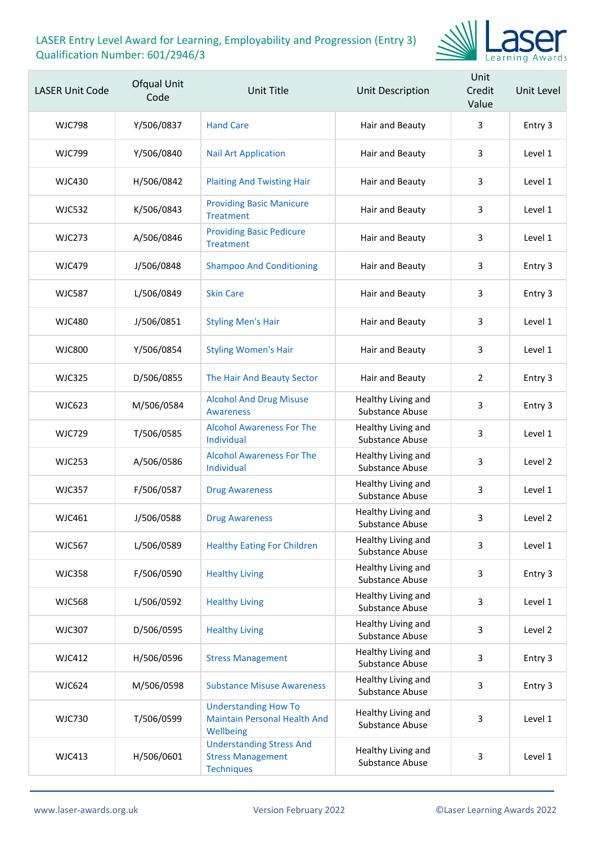

| <b>LASER Unit Code</b> | Ofqual Unit<br>Code | Unit Title                                                                       | Unit Description                             | Unit<br>Credit<br>Value | Unit Level |
|------------------------|---------------------|----------------------------------------------------------------------------------|----------------------------------------------|-------------------------|------------|
| <b>WJC798</b>          | Y/506/0837          | <b>Hand Care</b>                                                                 | Hair and Beauty                              | 3                       | Entry 3    |
| <b>WJC799</b>          | Y/506/0840          | <b>Nail Art Application</b>                                                      | Hair and Beauty                              | 3                       | Level 1    |
| <b>WJC430</b>          | H/506/0842          | <b>Plaiting And Twisting Hair</b>                                                | Hair and Beauty                              | 3                       | Level 1    |
| <b>WJC532</b>          | K/506/0843          | <b>Providing Basic Manicure</b><br><b>Treatment</b>                              | Hair and Beauty                              | 3                       | Level 1    |
| <b>WJC273</b>          | A/506/0846          | <b>Providing Basic Pedicure</b><br><b>Treatment</b>                              | Hair and Beauty                              | 3                       | Level 1    |
| <b>WJC479</b>          | J/506/0848          | <b>Shampoo And Conditioning</b>                                                  | Hair and Beauty                              | 3                       | Entry 3    |
| <b>WJC587</b>          | L/506/0849          | <b>Skin Care</b>                                                                 | Hair and Beauty                              | 3                       | Entry 3    |
| <b>WJC480</b>          | J/506/0851          | <b>Styling Men's Hair</b>                                                        | Hair and Beauty                              | 3                       | Level 1    |
| <b>WJC800</b>          | Y/506/0854          | <b>Styling Women's Hair</b>                                                      | Hair and Beauty                              | 3                       | Level 1    |
| <b>WJC325</b>          | D/506/0855          | The Hair And Beauty Sector                                                       | Hair and Beauty                              | 2                       | Entry 3    |
| <b>WJC623</b>          | M/506/0584          | <b>Alcohol And Drug Misuse</b><br><b>Awareness</b>                               | Healthy Living and<br>Substance Abuse        | 3                       | Entry 3    |
| <b>WJC729</b>          | T/506/0585          | <b>Alcohol Awareness For The</b><br>Individual                                   | Healthy Living and<br>Substance Abuse        | 3                       | Level 1    |
| <b>WJC253</b>          | A/506/0586          | <b>Alcohol Awareness For The</b><br>Individual                                   | Healthy Living and<br><b>Substance Abuse</b> | 3                       | Level 2    |
| <b>WJC357</b>          | F/506/0587          | <b>Drug Awareness</b>                                                            | Healthy Living and<br>Substance Abuse        | 3                       | Level 1    |
| <b>WJC461</b>          | J/506/0588          | <b>Drug Awareness</b>                                                            | Healthy Living and<br>Substance Abuse        | 3                       | Level 2    |
| <b>WJC567</b>          | L/506/0589          | <b>Healthy Eating For Children</b>                                               | Healthy Living and<br><b>Substance Abuse</b> | 3                       | Level 1    |
| <b>WJC358</b>          | F/506/0590          | <b>Healthy Living</b>                                                            | Healthy Living and<br>Substance Abuse        | 3                       | Entry 3    |
| <b>WJC568</b>          | L/506/0592          | <b>Healthy Living</b>                                                            | Healthy Living and<br><b>Substance Abuse</b> | 3                       | Level 1    |
| <b>WJC307</b>          | D/506/0595          | <b>Healthy Living</b>                                                            | Healthy Living and<br>Substance Abuse        | 3                       | Level 2    |
| <b>WJC412</b>          | H/506/0596          | <b>Stress Management</b>                                                         | Healthy Living and<br>Substance Abuse        | 3                       | Entry 3    |
| <b>WJC624</b>          | M/506/0598          | <b>Substance Misuse Awareness</b>                                                | Healthy Living and<br>Substance Abuse        | 3                       | Entry 3    |
| <b>WJC730</b>          | T/506/0599          | <b>Understanding How To</b><br><b>Maintain Personal Health And</b><br>Wellbeing  | Healthy Living and<br>Substance Abuse        | 3                       | Level 1    |
| <b>WJC413</b>          | H/506/0601          | <b>Understanding Stress And</b><br><b>Stress Management</b><br><b>Techniques</b> | Healthy Living and<br>Substance Abuse        | 3                       | Level 1    |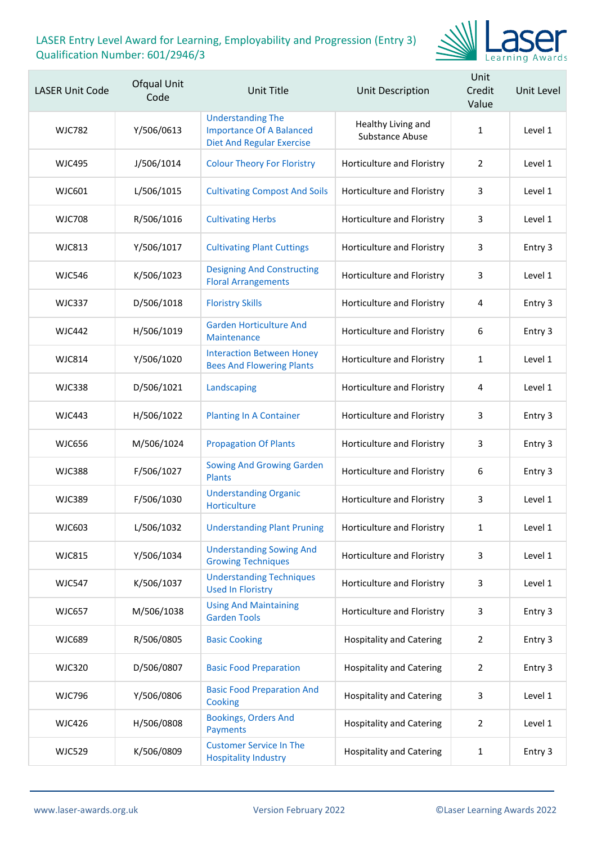

| <b>LASER Unit Code</b> | Ofqual Unit<br>Code | Unit Title                                                                                      | Unit Description                             | Unit<br>Credit<br>Value | Unit Level |
|------------------------|---------------------|-------------------------------------------------------------------------------------------------|----------------------------------------------|-------------------------|------------|
| <b>WJC782</b>          | Y/506/0613          | <b>Understanding The</b><br><b>Importance Of A Balanced</b><br><b>Diet And Regular Exercise</b> | Healthy Living and<br><b>Substance Abuse</b> | 1                       | Level 1    |
| <b>WJC495</b>          | J/506/1014          | <b>Colour Theory For Floristry</b>                                                              | Horticulture and Floristry                   | $\overline{2}$          | Level 1    |
| <b>WJC601</b>          | L/506/1015          | <b>Cultivating Compost And Soils</b>                                                            | Horticulture and Floristry                   | 3                       | Level 1    |
| <b>WJC708</b>          | R/506/1016          | <b>Cultivating Herbs</b>                                                                        | Horticulture and Floristry                   | 3                       | Level 1    |
| <b>WJC813</b>          | Y/506/1017          | <b>Cultivating Plant Cuttings</b>                                                               | Horticulture and Floristry                   | 3                       | Entry 3    |
| <b>WJC546</b>          | K/506/1023          | <b>Designing And Constructing</b><br><b>Floral Arrangements</b>                                 | Horticulture and Floristry                   | 3                       | Level 1    |
| <b>WJC337</b>          | D/506/1018          | <b>Floristry Skills</b>                                                                         | Horticulture and Floristry                   | 4                       | Entry 3    |
| <b>WJC442</b>          | H/506/1019          | <b>Garden Horticulture And</b><br>Maintenance                                                   | Horticulture and Floristry                   | 6                       | Entry 3    |
| <b>WJC814</b>          | Y/506/1020          | <b>Interaction Between Honey</b><br><b>Bees And Flowering Plants</b>                            | Horticulture and Floristry                   | $\mathbf{1}$            | Level 1    |
| <b>WJC338</b>          | D/506/1021          | Landscaping                                                                                     | Horticulture and Floristry                   | 4                       | Level 1    |
| <b>WJC443</b>          | H/506/1022          | <b>Planting In A Container</b>                                                                  | Horticulture and Floristry                   | 3                       | Entry 3    |
| <b>WJC656</b>          | M/506/1024          | <b>Propagation Of Plants</b>                                                                    | Horticulture and Floristry                   | 3                       | Entry 3    |
| <b>WJC388</b>          | F/506/1027          | <b>Sowing And Growing Garden</b><br><b>Plants</b>                                               | Horticulture and Floristry                   | 6                       | Entry 3    |
| <b>WJC389</b>          | F/506/1030          | <b>Understanding Organic</b><br><b>Horticulture</b>                                             | Horticulture and Floristry                   | 3                       | Level 1    |
| WJC603                 | L/506/1032          | <b>Understanding Plant Pruning</b>                                                              | Horticulture and Floristry                   | $\mathbf{1}$            | Level 1    |
| <b>WJC815</b>          | Y/506/1034          | <b>Understanding Sowing And</b><br><b>Growing Techniques</b>                                    | Horticulture and Floristry                   | 3                       | Level 1    |
| <b>WJC547</b>          | K/506/1037          | <b>Understanding Techniques</b><br><b>Used In Floristry</b>                                     | Horticulture and Floristry                   | 3                       | Level 1    |
| <b>WJC657</b>          | M/506/1038          | <b>Using And Maintaining</b><br><b>Garden Tools</b>                                             | Horticulture and Floristry                   | 3                       | Entry 3    |
| <b>WJC689</b>          | R/506/0805          | <b>Basic Cooking</b>                                                                            | <b>Hospitality and Catering</b>              | 2                       | Entry 3    |
| <b>WJC320</b>          | D/506/0807          | <b>Basic Food Preparation</b>                                                                   | <b>Hospitality and Catering</b>              | $\overline{2}$          | Entry 3    |
| <b>WJC796</b>          | Y/506/0806          | <b>Basic Food Preparation And</b><br>Cooking                                                    | <b>Hospitality and Catering</b>              | 3                       | Level 1    |
| <b>WJC426</b>          | H/506/0808          | <b>Bookings, Orders And</b><br>Payments                                                         | <b>Hospitality and Catering</b>              | 2                       | Level 1    |
| <b>WJC529</b>          | K/506/0809          | <b>Customer Service In The</b><br><b>Hospitality Industry</b>                                   | <b>Hospitality and Catering</b>              | $\mathbf{1}$            | Entry 3    |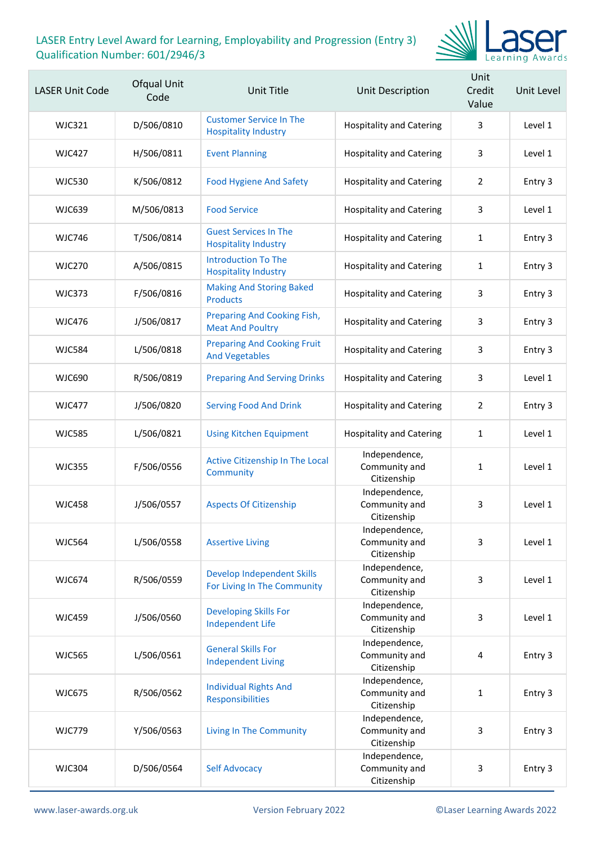

| <b>LASER Unit Code</b> | Ofqual Unit<br>Code | Unit Title                                                       | <b>Unit Description</b>                       | Unit<br>Credit<br>Value | Unit Level |
|------------------------|---------------------|------------------------------------------------------------------|-----------------------------------------------|-------------------------|------------|
| <b>WJC321</b>          | D/506/0810          | <b>Customer Service In The</b><br><b>Hospitality Industry</b>    | <b>Hospitality and Catering</b>               | 3                       | Level 1    |
| <b>WJC427</b>          | H/506/0811          | <b>Event Planning</b>                                            | <b>Hospitality and Catering</b>               | 3                       | Level 1    |
| <b>WJC530</b>          | K/506/0812          | <b>Food Hygiene And Safety</b>                                   | <b>Hospitality and Catering</b>               | $\overline{2}$          | Entry 3    |
| <b>WJC639</b>          | M/506/0813          | <b>Food Service</b>                                              | <b>Hospitality and Catering</b>               | 3                       | Level 1    |
| <b>WJC746</b>          | T/506/0814          | <b>Guest Services In The</b><br><b>Hospitality Industry</b>      | <b>Hospitality and Catering</b>               | 1                       | Entry 3    |
| <b>WJC270</b>          | A/506/0815          | <b>Introduction To The</b><br><b>Hospitality Industry</b>        | <b>Hospitality and Catering</b>               | 1                       | Entry 3    |
| <b>WJC373</b>          | F/506/0816          | <b>Making And Storing Baked</b><br><b>Products</b>               | <b>Hospitality and Catering</b>               | 3                       | Entry 3    |
| <b>WJC476</b>          | J/506/0817          | Preparing And Cooking Fish,<br><b>Meat And Poultry</b>           | <b>Hospitality and Catering</b>               | 3                       | Entry 3    |
| <b>WJC584</b>          | L/506/0818          | <b>Preparing And Cooking Fruit</b><br><b>And Vegetables</b>      | <b>Hospitality and Catering</b>               | 3                       | Entry 3    |
| <b>WJC690</b>          | R/506/0819          | <b>Preparing And Serving Drinks</b>                              | <b>Hospitality and Catering</b>               | 3                       | Level 1    |
| <b>WJC477</b>          | J/506/0820          | <b>Serving Food And Drink</b>                                    | <b>Hospitality and Catering</b>               | $\overline{2}$          | Entry 3    |
| <b>WJC585</b>          | L/506/0821          | <b>Using Kitchen Equipment</b>                                   | <b>Hospitality and Catering</b>               | 1                       | Level 1    |
| <b>WJC355</b>          | F/506/0556          | Active Citizenship In The Local<br>Community                     | Independence,<br>Community and<br>Citizenship | 1                       | Level 1    |
| <b>WJC458</b>          | J/506/0557          | <b>Aspects Of Citizenship</b>                                    | Independence,<br>Community and<br>Citizenship | 3                       | Level 1    |
| <b>WJC564</b>          | L/506/0558          | <b>Assertive Living</b>                                          | Independence,<br>Community and<br>Citizenship | 3                       | Level 1    |
| <b>WJC674</b>          | R/506/0559          | <b>Develop Independent Skills</b><br>For Living In The Community | Independence,<br>Community and<br>Citizenship | 3                       | Level 1    |
| <b>WJC459</b>          | J/506/0560          | <b>Developing Skills For</b><br><b>Independent Life</b>          | Independence,<br>Community and<br>Citizenship | 3                       | Level 1    |
| <b>WJC565</b>          | L/506/0561          | <b>General Skills For</b><br><b>Independent Living</b>           | Independence,<br>Community and<br>Citizenship | 4                       | Entry 3    |
| <b>WJC675</b>          | R/506/0562          | <b>Individual Rights And</b><br>Responsibilities                 | Independence,<br>Community and<br>Citizenship | $\mathbf{1}$            | Entry 3    |
| <b>WJC779</b>          | Y/506/0563          | <b>Living In The Community</b>                                   | Independence,<br>Community and<br>Citizenship | 3                       | Entry 3    |
| <b>WJC304</b>          | D/506/0564          | <b>Self Advocacy</b>                                             | Independence,<br>Community and<br>Citizenship | 3                       | Entry 3    |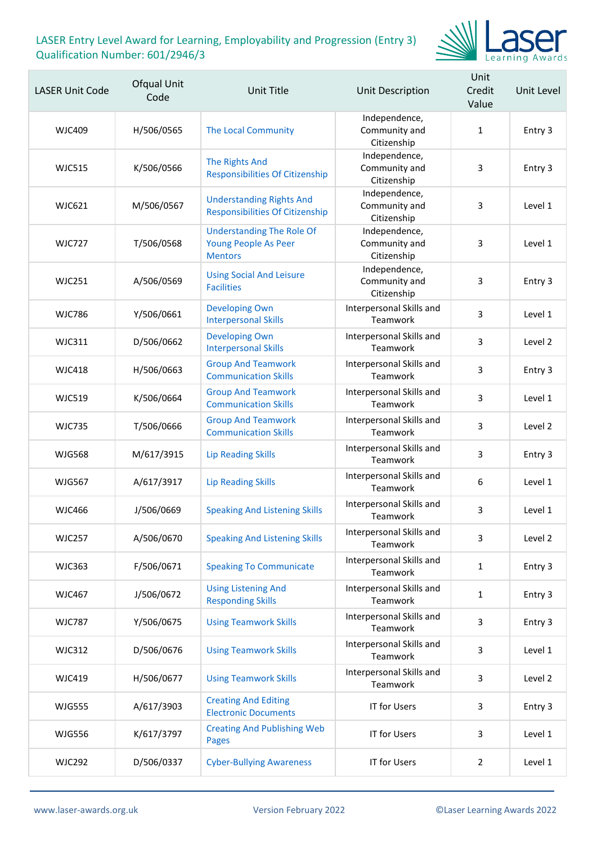

| <b>LASER Unit Code</b> | Ofqual Unit<br>Code | <b>Unit Title</b>                                                                 | Unit Description                              | Unit<br>Credit<br>Value | Unit Level |
|------------------------|---------------------|-----------------------------------------------------------------------------------|-----------------------------------------------|-------------------------|------------|
| <b>WJC409</b>          | H/506/0565          | The Local Community                                                               | Independence,<br>Community and<br>Citizenship | $\mathbf{1}$            | Entry 3    |
| <b>WJC515</b>          | K/506/0566          | The Rights And<br><b>Responsibilities Of Citizenship</b>                          | Independence,<br>Community and<br>Citizenship | 3                       | Entry 3    |
| <b>WJC621</b>          | M/506/0567          | <b>Understanding Rights And</b><br><b>Responsibilities Of Citizenship</b>         | Independence,<br>Community and<br>Citizenship | 3                       | Level 1    |
| <b>WJC727</b>          | T/506/0568          | <b>Understanding The Role Of</b><br><b>Young People As Peer</b><br><b>Mentors</b> | Independence,<br>Community and<br>Citizenship | 3                       | Level 1    |
| <b>WJC251</b>          | A/506/0569          | <b>Using Social And Leisure</b><br><b>Facilities</b>                              | Independence,<br>Community and<br>Citizenship | 3                       | Entry 3    |
| <b>WJC786</b>          | Y/506/0661          | <b>Developing Own</b><br><b>Interpersonal Skills</b>                              | Interpersonal Skills and<br>Teamwork          | 3                       | Level 1    |
| <b>WJC311</b>          | D/506/0662          | <b>Developing Own</b><br><b>Interpersonal Skills</b>                              | Interpersonal Skills and<br>Teamwork          | 3                       | Level 2    |
| <b>WJC418</b>          | H/506/0663          | <b>Group And Teamwork</b><br><b>Communication Skills</b>                          | Interpersonal Skills and<br>Teamwork          | 3                       | Entry 3    |
| <b>WJC519</b>          | K/506/0664          | <b>Group And Teamwork</b><br><b>Communication Skills</b>                          | Interpersonal Skills and<br>Teamwork          | 3                       | Level 1    |
| <b>WJC735</b>          | T/506/0666          | <b>Group And Teamwork</b><br><b>Communication Skills</b>                          | Interpersonal Skills and<br>Teamwork          | 3                       | Level 2    |
| <b>WJG568</b>          | M/617/3915          | <b>Lip Reading Skills</b>                                                         | Interpersonal Skills and<br>Teamwork          | 3                       | Entry 3    |
| <b>WJG567</b>          | A/617/3917          | <b>Lip Reading Skills</b>                                                         | Interpersonal Skills and<br>Teamwork          | 6                       | Level 1    |
| <b>WJC466</b>          | J/506/0669          | <b>Speaking And Listening Skills</b>                                              | Interpersonal Skills and<br>Teamwork          | 3                       | Level 1    |
| <b>WJC257</b>          | A/506/0670          | <b>Speaking And Listening Skills</b>                                              | Interpersonal Skills and<br>Teamwork          | 3                       | Level 2    |
| <b>WJC363</b>          | F/506/0671          | <b>Speaking To Communicate</b>                                                    | Interpersonal Skills and<br>Teamwork          | $\mathbf{1}$            | Entry 3    |
| <b>WJC467</b>          | J/506/0672          | <b>Using Listening And</b><br><b>Responding Skills</b>                            | Interpersonal Skills and<br>Teamwork          | $\mathbf{1}$            | Entry 3    |
| <b>WJC787</b>          | Y/506/0675          | <b>Using Teamwork Skills</b>                                                      | Interpersonal Skills and<br>Teamwork          | 3                       | Entry 3    |
| <b>WJC312</b>          | D/506/0676          | <b>Using Teamwork Skills</b>                                                      | Interpersonal Skills and<br>Teamwork          | 3                       | Level 1    |
| WJC419                 | H/506/0677          | <b>Using Teamwork Skills</b>                                                      | Interpersonal Skills and<br>Teamwork          | 3                       | Level 2    |
| <b>WJG555</b>          | A/617/3903          | <b>Creating And Editing</b><br><b>Electronic Documents</b>                        | <b>IT for Users</b>                           | 3                       | Entry 3    |
| <b>WJG556</b>          | K/617/3797          | <b>Creating And Publishing Web</b><br><b>Pages</b>                                | <b>IT for Users</b>                           | 3                       | Level 1    |
| <b>WJC292</b>          | D/506/0337          | <b>Cyber-Bullying Awareness</b>                                                   | <b>IT for Users</b>                           | $\overline{2}$          | Level 1    |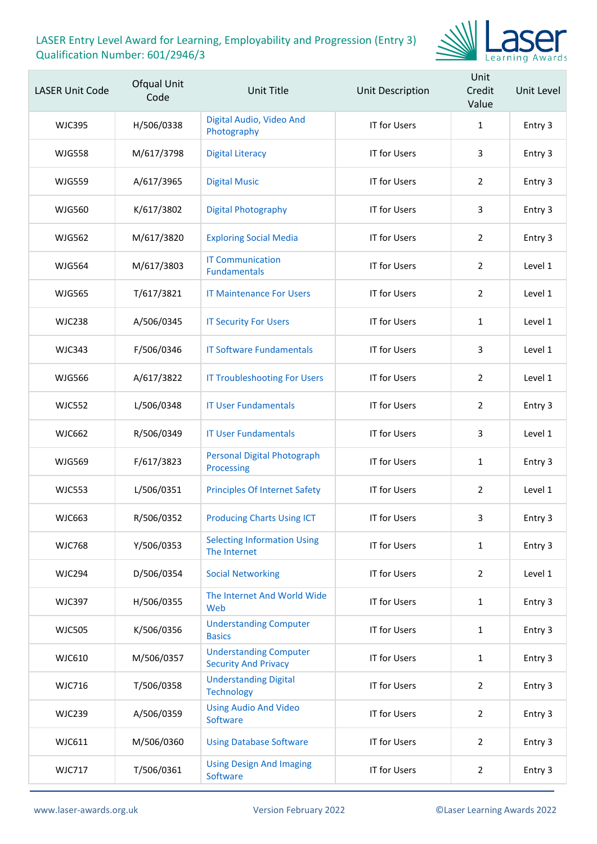

| <b>LASER Unit Code</b> | Ofqual Unit<br>Code | <b>Unit Title</b>                                            | Unit Description    | Unit<br>Credit<br>Value | Unit Level |
|------------------------|---------------------|--------------------------------------------------------------|---------------------|-------------------------|------------|
| <b>WJC395</b>          | H/506/0338          | Digital Audio, Video And<br>Photography                      | <b>IT for Users</b> | 1                       | Entry 3    |
| <b>WJG558</b>          | M/617/3798          | <b>Digital Literacy</b>                                      | <b>IT for Users</b> | 3                       | Entry 3    |
| <b>WJG559</b>          | A/617/3965          | <b>Digital Music</b>                                         | <b>IT for Users</b> | 2                       | Entry 3    |
| <b>WJG560</b>          | K/617/3802          | <b>Digital Photography</b>                                   | <b>IT for Users</b> | 3                       | Entry 3    |
| <b>WJG562</b>          | M/617/3820          | <b>Exploring Social Media</b>                                | <b>IT for Users</b> | $\overline{2}$          | Entry 3    |
| <b>WJG564</b>          | M/617/3803          | <b>IT Communication</b><br><b>Fundamentals</b>               | <b>IT for Users</b> | 2                       | Level 1    |
| <b>WJG565</b>          | T/617/3821          | <b>IT Maintenance For Users</b>                              | <b>IT for Users</b> | $\overline{2}$          | Level 1    |
| <b>WJC238</b>          | A/506/0345          | <b>IT Security For Users</b>                                 | <b>IT for Users</b> | $\mathbf{1}$            | Level 1    |
| <b>WJC343</b>          | F/506/0346          | <b>IT Software Fundamentals</b>                              | <b>IT for Users</b> | 3                       | Level 1    |
| <b>WJG566</b>          | A/617/3822          | <b>IT Troubleshooting For Users</b>                          | <b>IT for Users</b> | $\overline{2}$          | Level 1    |
| <b>WJC552</b>          | L/506/0348          | <b>IT User Fundamentals</b>                                  | <b>IT for Users</b> | $\overline{2}$          | Entry 3    |
| <b>WJC662</b>          | R/506/0349          | <b>IT User Fundamentals</b>                                  | <b>IT for Users</b> | 3                       | Level 1    |
| <b>WJG569</b>          | F/617/3823          | <b>Personal Digital Photograph</b><br>Processing             | <b>IT for Users</b> | $\mathbf{1}$            | Entry 3    |
| <b>WJC553</b>          | L/506/0351          | <b>Principles Of Internet Safety</b>                         | <b>IT for Users</b> | $\overline{2}$          | Level 1    |
| WJC663                 | R/506/0352          | <b>Producing Charts Using ICT</b>                            | IT for Users        | 3                       | Entry 3    |
| <b>WJC768</b>          | Y/506/0353          | <b>Selecting Information Using</b><br>The Internet           | <b>IT for Users</b> | $\mathbf{1}$            | Entry 3    |
| <b>WJC294</b>          | D/506/0354          | <b>Social Networking</b>                                     | <b>IT for Users</b> | $\overline{2}$          | Level 1    |
| <b>WJC397</b>          | H/506/0355          | The Internet And World Wide<br>Web                           | <b>IT for Users</b> | $\mathbf{1}$            | Entry 3    |
| <b>WJC505</b>          | K/506/0356          | <b>Understanding Computer</b><br><b>Basics</b>               | <b>IT for Users</b> | $\mathbf{1}$            | Entry 3    |
| WJC610                 | M/506/0357          | <b>Understanding Computer</b><br><b>Security And Privacy</b> | <b>IT for Users</b> | $\mathbf{1}$            | Entry 3    |
| <b>WJC716</b>          | T/506/0358          | <b>Understanding Digital</b><br><b>Technology</b>            | <b>IT for Users</b> | $\overline{2}$          | Entry 3    |
| <b>WJC239</b>          | A/506/0359          | <b>Using Audio And Video</b><br>Software                     | <b>IT for Users</b> | $\overline{2}$          | Entry 3    |
| WJC611                 | M/506/0360          | <b>Using Database Software</b>                               | IT for Users        | $\overline{2}$          | Entry 3    |
| <b>WJC717</b>          | T/506/0361          | <b>Using Design And Imaging</b><br>Software                  | IT for Users        | $\overline{2}$          | Entry 3    |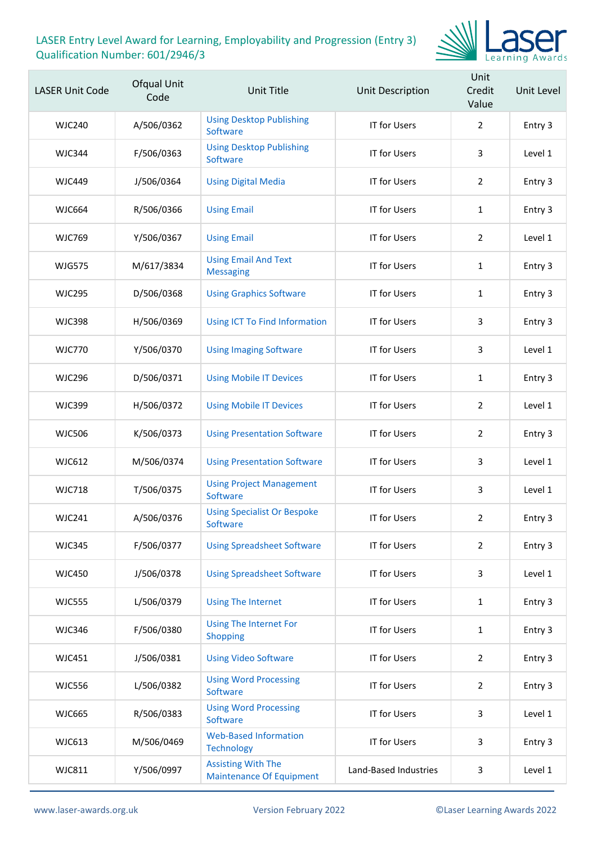

| <b>LASER Unit Code</b> | Ofqual Unit<br>Code | <b>Unit Title</b>                                            | Unit Description      | Unit<br>Credit<br>Value | Unit Level |
|------------------------|---------------------|--------------------------------------------------------------|-----------------------|-------------------------|------------|
| <b>WJC240</b>          | A/506/0362          | <b>Using Desktop Publishing</b><br>Software                  | <b>IT for Users</b>   | $\overline{2}$          | Entry 3    |
| <b>WJC344</b>          | F/506/0363          | <b>Using Desktop Publishing</b><br>Software                  | <b>IT for Users</b>   | 3                       | Level 1    |
| <b>WJC449</b>          | J/506/0364          | <b>Using Digital Media</b>                                   | <b>IT for Users</b>   | $\overline{2}$          | Entry 3    |
| <b>WJC664</b>          | R/506/0366          | <b>Using Email</b>                                           | <b>IT for Users</b>   | 1                       | Entry 3    |
| <b>WJC769</b>          | Y/506/0367          | <b>Using Email</b>                                           | <b>IT for Users</b>   | 2                       | Level 1    |
| <b>WJG575</b>          | M/617/3834          | <b>Using Email And Text</b><br><b>Messaging</b>              | <b>IT for Users</b>   | $\mathbf{1}$            | Entry 3    |
| <b>WJC295</b>          | D/506/0368          | <b>Using Graphics Software</b>                               | <b>IT for Users</b>   | 1                       | Entry 3    |
| <b>WJC398</b>          | H/506/0369          | Using ICT To Find Information                                | <b>IT for Users</b>   | 3                       | Entry 3    |
| <b>WJC770</b>          | Y/506/0370          | <b>Using Imaging Software</b>                                | <b>IT for Users</b>   | 3                       | Level 1    |
| <b>WJC296</b>          | D/506/0371          | <b>Using Mobile IT Devices</b>                               | <b>IT for Users</b>   | 1                       | Entry 3    |
| <b>WJC399</b>          | H/506/0372          | <b>Using Mobile IT Devices</b>                               | <b>IT for Users</b>   | $\overline{2}$          | Level 1    |
| <b>WJC506</b>          | K/506/0373          | <b>Using Presentation Software</b>                           | <b>IT for Users</b>   | $\overline{2}$          | Entry 3    |
| <b>WJC612</b>          | M/506/0374          | <b>Using Presentation Software</b>                           | <b>IT for Users</b>   | 3                       | Level 1    |
| <b>WJC718</b>          | T/506/0375          | <b>Using Project Management</b><br>Software                  | <b>IT for Users</b>   | 3                       | Level 1    |
| <b>WJC241</b>          | A/506/0376          | <b>Using Specialist Or Bespoke</b><br>Software               | <b>IT for Users</b>   | 2                       | Entry 3    |
| <b>WJC345</b>          | F/506/0377          | <b>Using Spreadsheet Software</b>                            | <b>IT for Users</b>   | $\overline{2}$          | Entry 3    |
| <b>WJC450</b>          | J/506/0378          | <b>Using Spreadsheet Software</b>                            | <b>IT for Users</b>   | 3                       | Level 1    |
| <b>WJC555</b>          | L/506/0379          | <b>Using The Internet</b>                                    | <b>IT for Users</b>   | $\mathbf{1}$            | Entry 3    |
| <b>WJC346</b>          | F/506/0380          | <b>Using The Internet For</b><br><b>Shopping</b>             | <b>IT for Users</b>   | $\mathbf{1}$            | Entry 3    |
| WJC451                 | J/506/0381          | <b>Using Video Software</b>                                  | <b>IT for Users</b>   | $\overline{2}$          | Entry 3    |
| <b>WJC556</b>          | L/506/0382          | <b>Using Word Processing</b><br>Software                     | <b>IT for Users</b>   | $\overline{2}$          | Entry 3    |
| <b>WJC665</b>          | R/506/0383          | <b>Using Word Processing</b><br>Software                     | <b>IT for Users</b>   | 3                       | Level 1    |
| WJC613                 | M/506/0469          | <b>Web-Based Information</b><br><b>Technology</b>            | <b>IT for Users</b>   | 3                       | Entry 3    |
| <b>WJC811</b>          | Y/506/0997          | <b>Assisting With The</b><br><b>Maintenance Of Equipment</b> | Land-Based Industries | 3                       | Level 1    |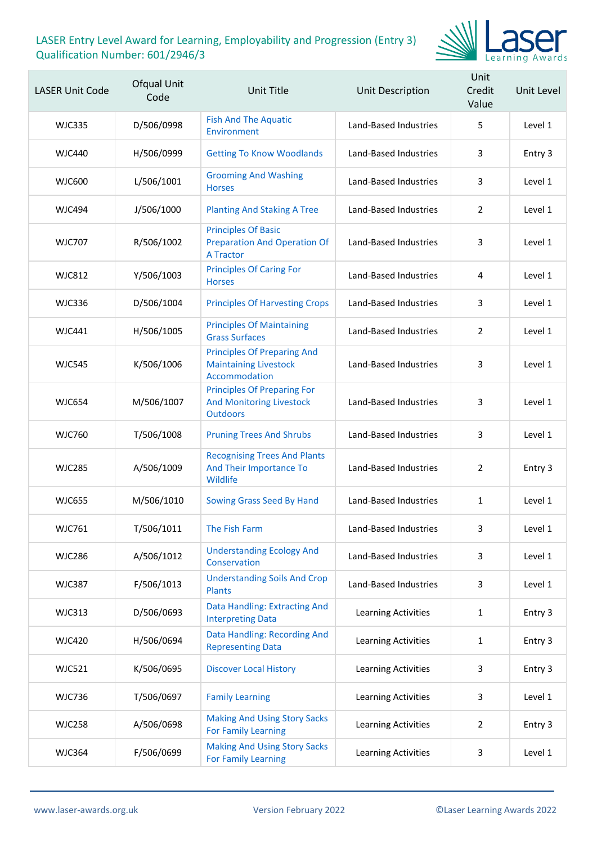

| <b>LASER Unit Code</b> | Ofqual Unit<br>Code | Unit Title                                                                               | <b>Unit Description</b>    | Unit<br>Credit<br>Value | Unit Level |
|------------------------|---------------------|------------------------------------------------------------------------------------------|----------------------------|-------------------------|------------|
| WJC335                 | D/506/0998          | <b>Fish And The Aquatic</b><br>Environment                                               | Land-Based Industries      | 5                       | Level 1    |
| WJC440                 | H/506/0999          | <b>Getting To Know Woodlands</b>                                                         | Land-Based Industries      | 3                       | Entry 3    |
| <b>WJC600</b>          | L/506/1001          | <b>Grooming And Washing</b><br><b>Horses</b>                                             | Land-Based Industries      | 3                       | Level 1    |
| <b>WJC494</b>          | J/506/1000          | <b>Planting And Staking A Tree</b>                                                       | Land-Based Industries      | 2                       | Level 1    |
| WJC707                 | R/506/1002          | <b>Principles Of Basic</b><br><b>Preparation And Operation Of</b><br><b>A Tractor</b>    | Land-Based Industries      | 3                       | Level 1    |
| <b>WJC812</b>          | Y/506/1003          | <b>Principles Of Caring For</b><br><b>Horses</b>                                         | Land-Based Industries      | 4                       | Level 1    |
| WJC336                 | D/506/1004          | <b>Principles Of Harvesting Crops</b>                                                    | Land-Based Industries      | 3                       | Level 1    |
| <b>WJC441</b>          | H/506/1005          | <b>Principles Of Maintaining</b><br><b>Grass Surfaces</b>                                | Land-Based Industries      | 2                       | Level 1    |
| <b>WJC545</b>          | K/506/1006          | <b>Principles Of Preparing And</b><br><b>Maintaining Livestock</b><br>Accommodation      | Land-Based Industries      | 3                       | Level 1    |
| WJC654                 | M/506/1007          | <b>Principles Of Preparing For</b><br><b>And Monitoring Livestock</b><br><b>Outdoors</b> | Land-Based Industries      | 3                       | Level 1    |
| WJC760                 | T/506/1008          | <b>Pruning Trees And Shrubs</b>                                                          | Land-Based Industries      | 3                       | Level 1    |
| <b>WJC285</b>          | A/506/1009          | <b>Recognising Trees And Plants</b><br>And Their Importance To<br>Wildlife               | Land-Based Industries      | 2                       | Entry 3    |
| <b>WJC655</b>          | M/506/1010          | Sowing Grass Seed By Hand                                                                | Land-Based Industries      | $\mathbf{1}$            | Level 1    |
| <b>WJC761</b>          | T/506/1011          | The Fish Farm                                                                            | Land-Based Industries      | 3                       | Level 1    |
| <b>WJC286</b>          | A/506/1012          | <b>Understanding Ecology And</b><br>Conservation                                         | Land-Based Industries      | 3                       | Level 1    |
| <b>WJC387</b>          | F/506/1013          | <b>Understanding Soils And Crop</b><br><b>Plants</b>                                     | Land-Based Industries      | 3                       | Level 1    |
| <b>WJC313</b>          | D/506/0693          | Data Handling: Extracting And<br><b>Interpreting Data</b>                                | Learning Activities        | $\mathbf{1}$            | Entry 3    |
| <b>WJC420</b>          | H/506/0694          | Data Handling: Recording And<br><b>Representing Data</b>                                 | <b>Learning Activities</b> | 1                       | Entry 3    |
| <b>WJC521</b>          | K/506/0695          | <b>Discover Local History</b>                                                            | Learning Activities        | 3                       | Entry 3    |
| <b>WJC736</b>          | T/506/0697          | <b>Family Learning</b>                                                                   | Learning Activities        | 3                       | Level 1    |
| <b>WJC258</b>          | A/506/0698          | <b>Making And Using Story Sacks</b><br><b>For Family Learning</b>                        | Learning Activities        | $\overline{2}$          | Entry 3    |
| <b>WJC364</b>          | F/506/0699          | <b>Making And Using Story Sacks</b><br><b>For Family Learning</b>                        | Learning Activities        | 3                       | Level 1    |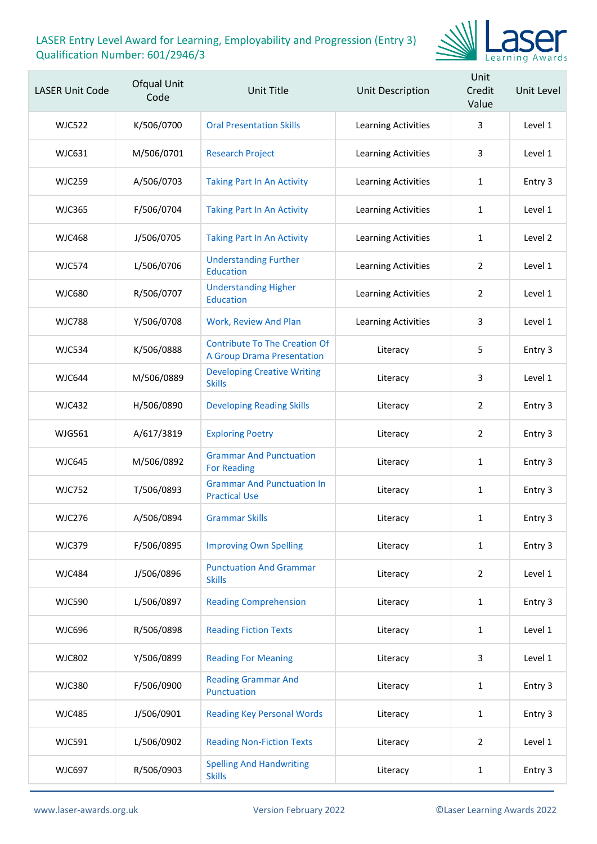

| <b>LASER Unit Code</b> | Ofqual Unit<br>Code | <b>Unit Title</b>                                                         | Unit Description           | Unit<br>Credit<br>Value | Unit Level |
|------------------------|---------------------|---------------------------------------------------------------------------|----------------------------|-------------------------|------------|
| <b>WJC522</b>          | K/506/0700          | <b>Oral Presentation Skills</b>                                           | Learning Activities        | 3                       | Level 1    |
| WJC631                 | M/506/0701          | <b>Research Project</b>                                                   | <b>Learning Activities</b> | 3                       | Level 1    |
| <b>WJC259</b>          | A/506/0703          | <b>Taking Part In An Activity</b>                                         | <b>Learning Activities</b> | $\mathbf{1}$            | Entry 3    |
| <b>WJC365</b>          | F/506/0704          | <b>Taking Part In An Activity</b>                                         | Learning Activities        | $\mathbf{1}$            | Level 1    |
| <b>WJC468</b>          | J/506/0705          | <b>Taking Part In An Activity</b>                                         | Learning Activities        | 1                       | Level 2    |
| <b>WJC574</b>          | L/506/0706          | <b>Understanding Further</b><br><b>Education</b>                          | <b>Learning Activities</b> | 2                       | Level 1    |
| <b>WJC680</b>          | R/506/0707          | <b>Understanding Higher</b><br><b>Education</b>                           | Learning Activities        | $\overline{2}$          | Level 1    |
| <b>WJC788</b>          | Y/506/0708          | Work, Review And Plan                                                     | Learning Activities        | 3                       | Level 1    |
| <b>WJC534</b>          | K/506/0888          | <b>Contribute To The Creation Of</b><br><b>A Group Drama Presentation</b> | Literacy                   | 5                       | Entry 3    |
| <b>WJC644</b>          | M/506/0889          | <b>Developing Creative Writing</b><br><b>Skills</b>                       | Literacy                   | 3                       | Level 1    |
| <b>WJC432</b>          | H/506/0890          | <b>Developing Reading Skills</b>                                          | Literacy                   | $\overline{2}$          | Entry 3    |
| <b>WJG561</b>          | A/617/3819          | <b>Exploring Poetry</b>                                                   | Literacy                   | $\overline{2}$          | Entry 3    |
| <b>WJC645</b>          | M/506/0892          | <b>Grammar And Punctuation</b><br><b>For Reading</b>                      | Literacy                   | $\mathbf{1}$            | Entry 3    |
| <b>WJC752</b>          | T/506/0893          | <b>Grammar And Punctuation In</b><br><b>Practical Use</b>                 | Literacy                   | 1                       | Entry 3    |
| <b>WJC276</b>          | A/506/0894          | <b>Grammar Skills</b>                                                     | Literacy                   | $\mathbf{1}$            | Entry 3    |
| <b>WJC379</b>          | F/506/0895          | <b>Improving Own Spelling</b>                                             | Literacy                   | $\mathbf{1}$            | Entry 3    |
| <b>WJC484</b>          | J/506/0896          | <b>Punctuation And Grammar</b><br><b>Skills</b>                           | Literacy                   | $\overline{2}$          | Level 1    |
| <b>WJC590</b>          | L/506/0897          | <b>Reading Comprehension</b>                                              | Literacy                   | $\mathbf{1}$            | Entry 3    |
| <b>WJC696</b>          | R/506/0898          | <b>Reading Fiction Texts</b>                                              | Literacy                   | $\mathbf{1}$            | Level 1    |
| <b>WJC802</b>          | Y/506/0899          | <b>Reading For Meaning</b>                                                | Literacy                   | 3                       | Level 1    |
| <b>WJC380</b>          | F/506/0900          | <b>Reading Grammar And</b><br>Punctuation                                 | Literacy                   | $\mathbf{1}$            | Entry 3    |
| <b>WJC485</b>          | J/506/0901          | <b>Reading Key Personal Words</b>                                         | Literacy                   | $\mathbf{1}$            | Entry 3    |
| <b>WJC591</b>          | L/506/0902          | <b>Reading Non-Fiction Texts</b>                                          | Literacy                   | $\overline{2}$          | Level 1    |
| <b>WJC697</b>          | R/506/0903          | <b>Spelling And Handwriting</b><br><b>Skills</b>                          | Literacy                   | 1                       | Entry 3    |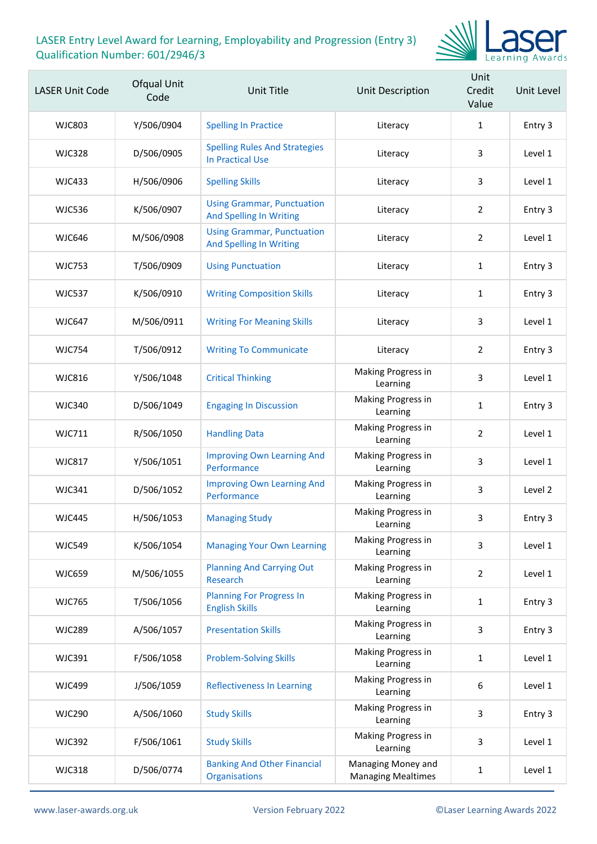

| <b>LASER Unit Code</b> | Ofqual Unit<br>Code | Unit Title                                                          | Unit Description                                | Unit<br>Credit<br>Value | Unit Level |
|------------------------|---------------------|---------------------------------------------------------------------|-------------------------------------------------|-------------------------|------------|
| <b>WJC803</b>          | Y/506/0904          | <b>Spelling In Practice</b>                                         | Literacy                                        | 1                       | Entry 3    |
| <b>WJC328</b>          | D/506/0905          | <b>Spelling Rules And Strategies</b><br><b>In Practical Use</b>     | Literacy                                        | 3                       | Level 1    |
| <b>WJC433</b>          | H/506/0906          | <b>Spelling Skills</b>                                              | Literacy                                        | 3                       | Level 1    |
| <b>WJC536</b>          | K/506/0907          | <b>Using Grammar, Punctuation</b><br><b>And Spelling In Writing</b> | Literacy                                        | $\overline{2}$          | Entry 3    |
| <b>WJC646</b>          | M/506/0908          | <b>Using Grammar, Punctuation</b><br><b>And Spelling In Writing</b> | Literacy                                        | $\overline{2}$          | Level 1    |
| <b>WJC753</b>          | T/506/0909          | <b>Using Punctuation</b>                                            | Literacy                                        | 1                       | Entry 3    |
| <b>WJC537</b>          | K/506/0910          | <b>Writing Composition Skills</b>                                   | Literacy                                        | 1                       | Entry 3    |
| <b>WJC647</b>          | M/506/0911          | <b>Writing For Meaning Skills</b>                                   | Literacy                                        | 3                       | Level 1    |
| <b>WJC754</b>          | T/506/0912          | <b>Writing To Communicate</b>                                       | Literacy                                        | $\overline{2}$          | Entry 3    |
| <b>WJC816</b>          | Y/506/1048          | <b>Critical Thinking</b>                                            | Making Progress in<br>Learning                  | 3                       | Level 1    |
| <b>WJC340</b>          | D/506/1049          | <b>Engaging In Discussion</b>                                       | Making Progress in<br>Learning                  | $\mathbf{1}$            | Entry 3    |
| <b>WJC711</b>          | R/506/1050          | <b>Handling Data</b>                                                | Making Progress in<br>Learning                  | $\overline{2}$          | Level 1    |
| <b>WJC817</b>          | Y/506/1051          | <b>Improving Own Learning And</b><br>Performance                    | Making Progress in<br>Learning                  | 3                       | Level 1    |
| <b>WJC341</b>          | D/506/1052          | <b>Improving Own Learning And</b><br>Performance                    | Making Progress in<br>Learning                  | 3                       | Level 2    |
| <b>WJC445</b>          | H/506/1053          | <b>Managing Study</b>                                               | Making Progress in<br>Learning                  | 3                       | Entry 3    |
| <b>WJC549</b>          | K/506/1054          | <b>Managing Your Own Learning</b>                                   | Making Progress in<br>Learning                  | 3                       | Level 1    |
| <b>WJC659</b>          | M/506/1055          | <b>Planning And Carrying Out</b><br>Research                        | Making Progress in<br>Learning                  | $\overline{2}$          | Level 1    |
| <b>WJC765</b>          | T/506/1056          | <b>Planning For Progress In</b><br><b>English Skills</b>            | Making Progress in<br>Learning                  | 1                       | Entry 3    |
| <b>WJC289</b>          | A/506/1057          | <b>Presentation Skills</b>                                          | Making Progress in<br>Learning                  | 3                       | Entry 3    |
| <b>WJC391</b>          | F/506/1058          | <b>Problem-Solving Skills</b>                                       | Making Progress in<br>Learning                  | 1                       | Level 1    |
| <b>WJC499</b>          | J/506/1059          | <b>Reflectiveness In Learning</b>                                   | Making Progress in<br>Learning                  | 6                       | Level 1    |
| <b>WJC290</b>          | A/506/1060          | <b>Study Skills</b>                                                 | Making Progress in<br>Learning                  | 3                       | Entry 3    |
| <b>WJC392</b>          | F/506/1061          | <b>Study Skills</b>                                                 | Making Progress in<br>Learning                  | 3                       | Level 1    |
| <b>WJC318</b>          | D/506/0774          | <b>Banking And Other Financial</b><br>Organisations                 | Managing Money and<br><b>Managing Mealtimes</b> | 1                       | Level 1    |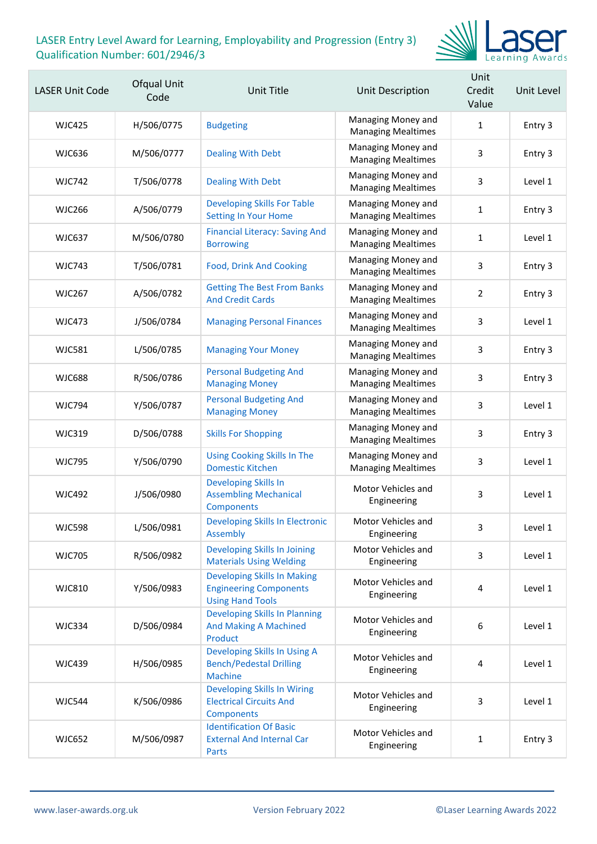

| <b>LASER Unit Code</b> | Ofqual Unit<br>Code | <b>Unit Title</b>                                                                              | Unit Description                                | Unit<br>Credit<br>Value | Unit Level |
|------------------------|---------------------|------------------------------------------------------------------------------------------------|-------------------------------------------------|-------------------------|------------|
| <b>WJC425</b>          | H/506/0775          | <b>Budgeting</b>                                                                               | Managing Money and<br><b>Managing Mealtimes</b> | $\mathbf{1}$            | Entry 3    |
| <b>WJC636</b>          | M/506/0777          | <b>Dealing With Debt</b>                                                                       | Managing Money and<br><b>Managing Mealtimes</b> | 3                       | Entry 3    |
| <b>WJC742</b>          | T/506/0778          | <b>Dealing With Debt</b>                                                                       | Managing Money and<br><b>Managing Mealtimes</b> | 3                       | Level 1    |
| <b>WJC266</b>          | A/506/0779          | <b>Developing Skills For Table</b><br><b>Setting In Your Home</b>                              | Managing Money and<br><b>Managing Mealtimes</b> | $\mathbf{1}$            | Entry 3    |
| <b>WJC637</b>          | M/506/0780          | <b>Financial Literacy: Saving And</b><br><b>Borrowing</b>                                      | Managing Money and<br><b>Managing Mealtimes</b> | 1                       | Level 1    |
| <b>WJC743</b>          | T/506/0781          | <b>Food, Drink And Cooking</b>                                                                 | Managing Money and<br><b>Managing Mealtimes</b> | 3                       | Entry 3    |
| <b>WJC267</b>          | A/506/0782          | <b>Getting The Best From Banks</b><br><b>And Credit Cards</b>                                  | Managing Money and<br><b>Managing Mealtimes</b> | $\overline{2}$          | Entry 3    |
| <b>WJC473</b>          | J/506/0784          | <b>Managing Personal Finances</b>                                                              | Managing Money and<br><b>Managing Mealtimes</b> | 3                       | Level 1    |
| <b>WJC581</b>          | L/506/0785          | <b>Managing Your Money</b>                                                                     | Managing Money and<br><b>Managing Mealtimes</b> | 3                       | Entry 3    |
| <b>WJC688</b>          | R/506/0786          | <b>Personal Budgeting And</b><br><b>Managing Money</b>                                         | Managing Money and<br><b>Managing Mealtimes</b> | 3                       | Entry 3    |
| <b>WJC794</b>          | Y/506/0787          | <b>Personal Budgeting And</b><br><b>Managing Money</b>                                         | Managing Money and<br><b>Managing Mealtimes</b> | 3                       | Level 1    |
| <b>WJC319</b>          | D/506/0788          | <b>Skills For Shopping</b>                                                                     | Managing Money and<br><b>Managing Mealtimes</b> | 3                       | Entry 3    |
| <b>WJC795</b>          | Y/506/0790          | <b>Using Cooking Skills In The</b><br><b>Domestic Kitchen</b>                                  | Managing Money and<br><b>Managing Mealtimes</b> | 3                       | Level 1    |
| <b>WJC492</b>          | J/506/0980          | <b>Developing Skills In</b><br><b>Assembling Mechanical</b><br>Components                      | Motor Vehicles and<br>Engineering               | 3                       | Level 1    |
| <b>WJC598</b>          | L/506/0981          | <b>Developing Skills In Electronic</b><br>Assembly                                             | Motor Vehicles and<br>Engineering               | 3                       | Level 1    |
| <b>WJC705</b>          | R/506/0982          | Developing Skills In Joining<br><b>Materials Using Welding</b>                                 | Motor Vehicles and<br>Engineering               | 3                       | Level 1    |
| <b>WJC810</b>          | Y/506/0983          | <b>Developing Skills In Making</b><br><b>Engineering Components</b><br><b>Using Hand Tools</b> | Motor Vehicles and<br>Engineering               | 4                       | Level 1    |
| <b>WJC334</b>          | D/506/0984          | <b>Developing Skills In Planning</b><br><b>And Making A Machined</b><br>Product                | Motor Vehicles and<br>Engineering               | 6                       | Level 1    |
| <b>WJC439</b>          | H/506/0985          | Developing Skills In Using A<br><b>Bench/Pedestal Drilling</b><br><b>Machine</b>               | Motor Vehicles and<br>Engineering               | 4                       | Level 1    |
| <b>WJC544</b>          | K/506/0986          | <b>Developing Skills In Wiring</b><br><b>Electrical Circuits And</b><br>Components             | Motor Vehicles and<br>Engineering               | 3                       | Level 1    |
| <b>WJC652</b>          | M/506/0987          | <b>Identification Of Basic</b><br><b>External And Internal Car</b><br>Parts                    | Motor Vehicles and<br>Engineering               | $\mathbf{1}$            | Entry 3    |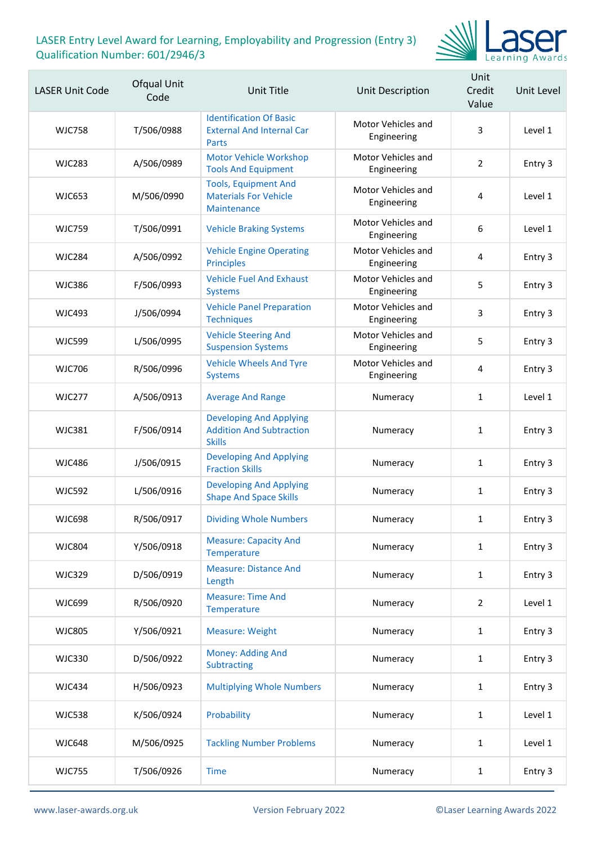

| <b>LASER Unit Code</b> | Ofqual Unit<br>Code | Unit Title                                                                         | <b>Unit Description</b>           | Unit<br>Credit<br>Value | Unit Level |
|------------------------|---------------------|------------------------------------------------------------------------------------|-----------------------------------|-------------------------|------------|
| <b>WJC758</b>          | T/506/0988          | <b>Identification Of Basic</b><br><b>External And Internal Car</b><br><b>Parts</b> | Motor Vehicles and<br>Engineering | 3                       | Level 1    |
| <b>WJC283</b>          | A/506/0989          | <b>Motor Vehicle Workshop</b><br><b>Tools And Equipment</b>                        | Motor Vehicles and<br>Engineering | $\overline{2}$          | Entry 3    |
| <b>WJC653</b>          | M/506/0990          | <b>Tools, Equipment And</b><br><b>Materials For Vehicle</b><br>Maintenance         | Motor Vehicles and<br>Engineering | 4                       | Level 1    |
| <b>WJC759</b>          | T/506/0991          | <b>Vehicle Braking Systems</b>                                                     | Motor Vehicles and<br>Engineering | $\boldsymbol{6}$        | Level 1    |
| <b>WJC284</b>          | A/506/0992          | <b>Vehicle Engine Operating</b><br><b>Principles</b>                               | Motor Vehicles and<br>Engineering | 4                       | Entry 3    |
| <b>WJC386</b>          | F/506/0993          | <b>Vehicle Fuel And Exhaust</b><br><b>Systems</b>                                  | Motor Vehicles and<br>Engineering | 5                       | Entry 3    |
| <b>WJC493</b>          | J/506/0994          | <b>Vehicle Panel Preparation</b><br><b>Techniques</b>                              | Motor Vehicles and<br>Engineering | 3                       | Entry 3    |
| <b>WJC599</b>          | L/506/0995          | <b>Vehicle Steering And</b><br><b>Suspension Systems</b>                           | Motor Vehicles and<br>Engineering | 5                       | Entry 3    |
| <b>WJC706</b>          | R/506/0996          | <b>Vehicle Wheels And Tyre</b><br><b>Systems</b>                                   | Motor Vehicles and<br>Engineering | 4                       | Entry 3    |
| <b>WJC277</b>          | A/506/0913          | <b>Average And Range</b>                                                           | Numeracy                          | 1                       | Level 1    |
| <b>WJC381</b>          | F/506/0914          | <b>Developing And Applying</b><br><b>Addition And Subtraction</b><br><b>Skills</b> | Numeracy                          | 1                       | Entry 3    |
| <b>WJC486</b>          | J/506/0915          | <b>Developing And Applying</b><br><b>Fraction Skills</b>                           | Numeracy                          | 1                       | Entry 3    |
| <b>WJC592</b>          | L/506/0916          | <b>Developing And Applying</b><br><b>Shape And Space Skills</b>                    | Numeracy                          | $\mathbf{1}$            | Entry 3    |
| <b>WJC698</b>          | R/506/0917          | <b>Dividing Whole Numbers</b>                                                      | Numeracy                          | 1                       | Entry 3    |
| <b>WJC804</b>          | Y/506/0918          | <b>Measure: Capacity And</b><br>Temperature                                        | Numeracy                          | $\mathbf{1}$            | Entry 3    |
| <b>WJC329</b>          | D/506/0919          | <b>Measure: Distance And</b><br>Length                                             | Numeracy                          | $\mathbf{1}$            | Entry 3    |
| WJC699                 | R/506/0920          | <b>Measure: Time And</b><br>Temperature                                            | Numeracy                          | $\overline{2}$          | Level 1    |
| <b>WJC805</b>          | Y/506/0921          | <b>Measure: Weight</b>                                                             | Numeracy                          | $\mathbf{1}$            | Entry 3    |
| <b>WJC330</b>          | D/506/0922          | Money: Adding And<br>Subtracting                                                   | Numeracy                          | $\mathbf{1}$            | Entry 3    |
| <b>WJC434</b>          | H/506/0923          | <b>Multiplying Whole Numbers</b>                                                   | Numeracy                          | $\mathbf{1}$            | Entry 3    |
| <b>WJC538</b>          | K/506/0924          | Probability                                                                        | Numeracy                          | $\mathbf{1}$            | Level 1    |
| <b>WJC648</b>          | M/506/0925          | <b>Tackling Number Problems</b>                                                    | Numeracy                          | $\mathbf{1}$            | Level 1    |
| <b>WJC755</b>          | T/506/0926          | <b>Time</b>                                                                        | Numeracy                          | $\mathbf{1}$            | Entry 3    |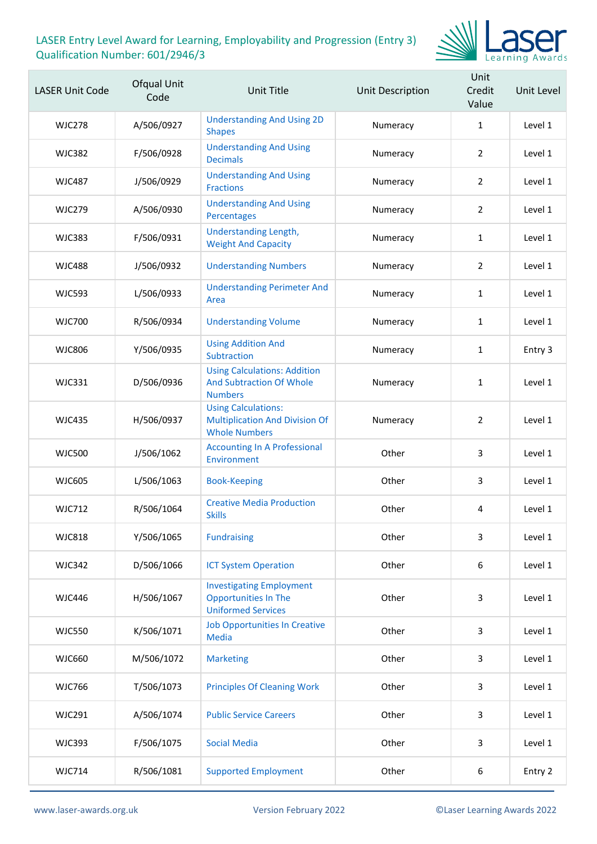

| <b>LASER Unit Code</b> | Ofqual Unit<br>Code | <b>Unit Title</b>                                                                           | Unit Description | Unit<br>Credit<br>Value | Unit Level |
|------------------------|---------------------|---------------------------------------------------------------------------------------------|------------------|-------------------------|------------|
| <b>WJC278</b>          | A/506/0927          | <b>Understanding And Using 2D</b><br><b>Shapes</b>                                          | Numeracy         | $\mathbf{1}$            | Level 1    |
| <b>WJC382</b>          | F/506/0928          | <b>Understanding And Using</b><br><b>Decimals</b>                                           | Numeracy         | $\overline{2}$          | Level 1    |
| <b>WJC487</b>          | J/506/0929          | <b>Understanding And Using</b><br><b>Fractions</b>                                          | Numeracy         | 2                       | Level 1    |
| <b>WJC279</b>          | A/506/0930          | <b>Understanding And Using</b><br>Percentages                                               | Numeracy         | $\overline{2}$          | Level 1    |
| <b>WJC383</b>          | F/506/0931          | Understanding Length,<br><b>Weight And Capacity</b>                                         | Numeracy         | $\mathbf{1}$            | Level 1    |
| <b>WJC488</b>          | J/506/0932          | <b>Understanding Numbers</b>                                                                | Numeracy         | 2                       | Level 1    |
| <b>WJC593</b>          | L/506/0933          | <b>Understanding Perimeter And</b><br>Area                                                  | Numeracy         | $\mathbf{1}$            | Level 1    |
| <b>WJC700</b>          | R/506/0934          | <b>Understanding Volume</b>                                                                 | Numeracy         | $\mathbf{1}$            | Level 1    |
| <b>WJC806</b>          | Y/506/0935          | <b>Using Addition And</b><br>Subtraction                                                    | Numeracy         | $\mathbf{1}$            | Entry 3    |
| <b>WJC331</b>          | D/506/0936          | <b>Using Calculations: Addition</b><br><b>And Subtraction Of Whole</b><br><b>Numbers</b>    | Numeracy         | $\mathbf{1}$            | Level 1    |
| <b>WJC435</b>          | H/506/0937          | <b>Using Calculations:</b><br><b>Multiplication And Division Of</b><br><b>Whole Numbers</b> | Numeracy         | $\overline{2}$          | Level 1    |
| <b>WJC500</b>          | J/506/1062          | <b>Accounting In A Professional</b><br>Environment                                          | Other            | 3                       | Level 1    |
| <b>WJC605</b>          | L/506/1063          | <b>Book-Keeping</b>                                                                         | Other            | 3                       | Level 1    |
| <b>WJC712</b>          | R/506/1064          | <b>Creative Media Production</b><br><b>Skills</b>                                           | Other            | 4                       | Level 1    |
| <b>WJC818</b>          | Y/506/1065          | <b>Fundraising</b>                                                                          | Other            | 3                       | Level 1    |
| <b>WJC342</b>          | D/506/1066          | <b>ICT System Operation</b>                                                                 | Other            | 6                       | Level 1    |
| <b>WJC446</b>          | H/506/1067          | <b>Investigating Employment</b><br><b>Opportunities In The</b><br><b>Uniformed Services</b> | Other            | 3                       | Level 1    |
| <b>WJC550</b>          | K/506/1071          | <b>Job Opportunities In Creative</b><br><b>Media</b>                                        | Other            | 3                       | Level 1    |
| <b>WJC660</b>          | M/506/1072          | <b>Marketing</b>                                                                            | Other            | 3                       | Level 1    |
| <b>WJC766</b>          | T/506/1073          | <b>Principles Of Cleaning Work</b>                                                          | Other            | 3                       | Level 1    |
| <b>WJC291</b>          | A/506/1074          | <b>Public Service Careers</b>                                                               | Other            | 3                       | Level 1    |
| <b>WJC393</b>          | F/506/1075          | <b>Social Media</b>                                                                         | Other            | 3                       | Level 1    |
| <b>WJC714</b>          | R/506/1081          | <b>Supported Employment</b>                                                                 | Other            | 6                       | Entry 2    |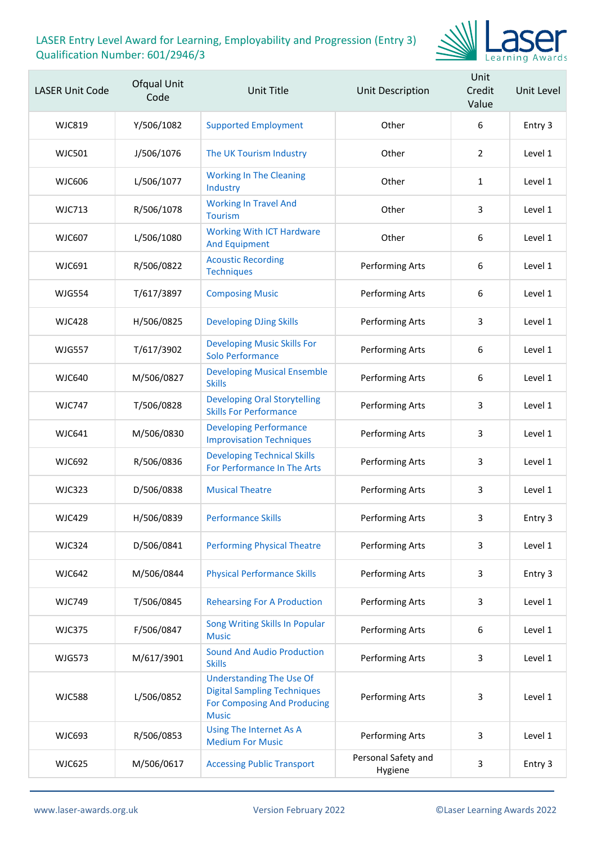

| <b>LASER Unit Code</b> | Ofqual Unit<br>Code | Unit Title                                                                                                                  | Unit Description               | Unit<br>Credit<br>Value | Unit Level |
|------------------------|---------------------|-----------------------------------------------------------------------------------------------------------------------------|--------------------------------|-------------------------|------------|
| WJC819                 | Y/506/1082          | <b>Supported Employment</b>                                                                                                 | Other                          | 6                       | Entry 3    |
| <b>WJC501</b>          | J/506/1076          | The UK Tourism Industry                                                                                                     | Other                          | $\overline{2}$          | Level 1    |
| <b>WJC606</b>          | L/506/1077          | <b>Working In The Cleaning</b><br>Industry                                                                                  | Other                          | $\mathbf{1}$            | Level 1    |
| <b>WJC713</b>          | R/506/1078          | <b>Working In Travel And</b><br><b>Tourism</b>                                                                              | Other                          | 3                       | Level 1    |
| <b>WJC607</b>          | L/506/1080          | <b>Working With ICT Hardware</b><br><b>And Equipment</b>                                                                    | Other                          | 6                       | Level 1    |
| WJC691                 | R/506/0822          | <b>Acoustic Recording</b><br><b>Techniques</b>                                                                              | Performing Arts                | 6                       | Level 1    |
| <b>WJG554</b>          | T/617/3897          | <b>Composing Music</b>                                                                                                      | Performing Arts                | 6                       | Level 1    |
| <b>WJC428</b>          | H/506/0825          | <b>Developing DJing Skills</b>                                                                                              | Performing Arts                | 3                       | Level 1    |
| <b>WJG557</b>          | T/617/3902          | <b>Developing Music Skills For</b><br>Solo Performance                                                                      | Performing Arts                | 6                       | Level 1    |
| <b>WJC640</b>          | M/506/0827          | <b>Developing Musical Ensemble</b><br><b>Skills</b>                                                                         | Performing Arts                | 6                       | Level 1    |
| <b>WJC747</b>          | T/506/0828          | <b>Developing Oral Storytelling</b><br><b>Skills For Performance</b>                                                        | Performing Arts                | 3                       | Level 1    |
| <b>WJC641</b>          | M/506/0830          | <b>Developing Performance</b><br><b>Improvisation Techniques</b>                                                            | Performing Arts                | 3                       | Level 1    |
| <b>WJC692</b>          | R/506/0836          | <b>Developing Technical Skills</b><br>For Performance In The Arts                                                           | Performing Arts                | 3                       | Level 1    |
| <b>WJC323</b>          | D/506/0838          | <b>Musical Theatre</b>                                                                                                      | Performing Arts                | 3                       | Level 1    |
| <b>WJC429</b>          | H/506/0839          | <b>Performance Skills</b>                                                                                                   | Performing Arts                | 3.                      | Entry 3    |
| <b>WJC324</b>          | D/506/0841          | <b>Performing Physical Theatre</b>                                                                                          | Performing Arts                | 3                       | Level 1    |
| <b>WJC642</b>          | M/506/0844          | <b>Physical Performance Skills</b>                                                                                          | Performing Arts                | 3                       | Entry 3    |
| <b>WJC749</b>          | T/506/0845          | <b>Rehearsing For A Production</b>                                                                                          | Performing Arts                | 3                       | Level 1    |
| <b>WJC375</b>          | F/506/0847          | Song Writing Skills In Popular<br><b>Music</b>                                                                              | Performing Arts                | 6                       | Level 1    |
| <b>WJG573</b>          | M/617/3901          | <b>Sound And Audio Production</b><br><b>Skills</b>                                                                          | Performing Arts                | 3                       | Level 1    |
| <b>WJC588</b>          | L/506/0852          | <b>Understanding The Use Of</b><br><b>Digital Sampling Techniques</b><br><b>For Composing And Producing</b><br><b>Music</b> | Performing Arts                | 3                       | Level 1    |
| <b>WJC693</b>          | R/506/0853          | Using The Internet As A<br><b>Medium For Music</b>                                                                          | Performing Arts                | 3                       | Level 1    |
| <b>WJC625</b>          | M/506/0617          | <b>Accessing Public Transport</b>                                                                                           | Personal Safety and<br>Hygiene | 3                       | Entry 3    |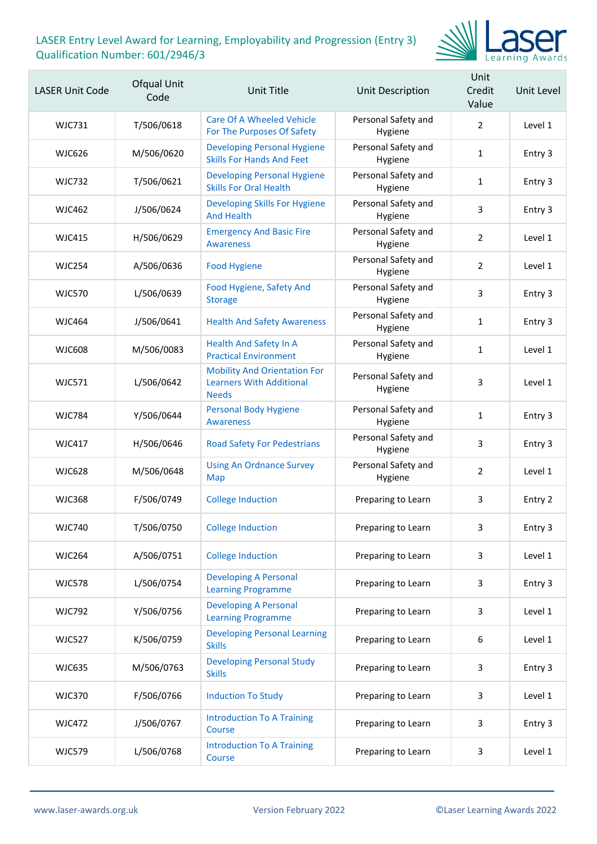

| <b>LASER Unit Code</b> | Ofqual Unit<br>Code | Unit Title                                                                             | Unit Description               | Unit<br>Credit<br>Value | Unit Level |
|------------------------|---------------------|----------------------------------------------------------------------------------------|--------------------------------|-------------------------|------------|
| WJC731                 | T/506/0618          | Care Of A Wheeled Vehicle<br>For The Purposes Of Safety                                | Personal Safety and<br>Hygiene | $\overline{2}$          | Level 1    |
| <b>WJC626</b>          | M/506/0620          | <b>Developing Personal Hygiene</b><br><b>Skills For Hands And Feet</b>                 | Personal Safety and<br>Hygiene | $\mathbf{1}$            | Entry 3    |
| <b>WJC732</b>          | T/506/0621          | <b>Developing Personal Hygiene</b><br><b>Skills For Oral Health</b>                    | Personal Safety and<br>Hygiene | 1                       | Entry 3    |
| WJC462                 | J/506/0624          | Developing Skills For Hygiene<br><b>And Health</b>                                     | Personal Safety and<br>Hygiene | 3                       | Entry 3    |
| WJC415                 | H/506/0629          | <b>Emergency And Basic Fire</b><br><b>Awareness</b>                                    | Personal Safety and<br>Hygiene | 2                       | Level 1    |
| <b>WJC254</b>          | A/506/0636          | <b>Food Hygiene</b>                                                                    | Personal Safety and<br>Hygiene | $\overline{2}$          | Level 1    |
| <b>WJC570</b>          | L/506/0639          | Food Hygiene, Safety And<br><b>Storage</b>                                             | Personal Safety and<br>Hygiene | 3                       | Entry 3    |
| <b>WJC464</b>          | J/506/0641          | <b>Health And Safety Awareness</b>                                                     | Personal Safety and<br>Hygiene | $\mathbf{1}$            | Entry 3    |
| WJC608                 | M/506/0083          | <b>Health And Safety In A</b><br><b>Practical Environment</b>                          | Personal Safety and<br>Hygiene | $\mathbf{1}$            | Level 1    |
| <b>WJC571</b>          | L/506/0642          | <b>Mobility And Orientation For</b><br><b>Learners With Additional</b><br><b>Needs</b> | Personal Safety and<br>Hygiene | 3                       | Level 1    |
| <b>WJC784</b>          | Y/506/0644          | <b>Personal Body Hygiene</b><br><b>Awareness</b>                                       | Personal Safety and<br>Hygiene | $\mathbf{1}$            | Entry 3    |
| <b>WJC417</b>          | H/506/0646          | <b>Road Safety For Pedestrians</b>                                                     | Personal Safety and<br>Hygiene | 3                       | Entry 3    |
| <b>WJC628</b>          | M/506/0648          | <b>Using An Ordnance Survey</b><br>Map                                                 | Personal Safety and<br>Hygiene | 2                       | Level 1    |
| <b>WJC368</b>          | F/506/0749          | <b>College Induction</b>                                                               | Preparing to Learn             | 3                       | Entry 2    |
| <b>WJC740</b>          | T/506/0750          | <b>College Induction</b>                                                               | Preparing to Learn             | 3                       | Entry 3    |
| <b>WJC264</b>          | A/506/0751          | <b>College Induction</b>                                                               | Preparing to Learn             | 3                       | Level 1    |
| <b>WJC578</b>          | L/506/0754          | <b>Developing A Personal</b><br><b>Learning Programme</b>                              | Preparing to Learn             | 3                       | Entry 3    |
| <b>WJC792</b>          | Y/506/0756          | <b>Developing A Personal</b><br><b>Learning Programme</b>                              | Preparing to Learn             | 3                       | Level 1    |
| <b>WJC527</b>          | K/506/0759          | <b>Developing Personal Learning</b><br><b>Skills</b>                                   | Preparing to Learn             | $\boldsymbol{6}$        | Level 1    |
| <b>WJC635</b>          | M/506/0763          | <b>Developing Personal Study</b><br><b>Skills</b>                                      | Preparing to Learn             | 3                       | Entry 3    |
| <b>WJC370</b>          | F/506/0766          | <b>Induction To Study</b>                                                              | Preparing to Learn             | 3                       | Level 1    |
| <b>WJC472</b>          | J/506/0767          | <b>Introduction To A Training</b><br>Course                                            | Preparing to Learn             | 3                       | Entry 3    |
| <b>WJC579</b>          | L/506/0768          | <b>Introduction To A Training</b><br>Course                                            | Preparing to Learn             | 3                       | Level 1    |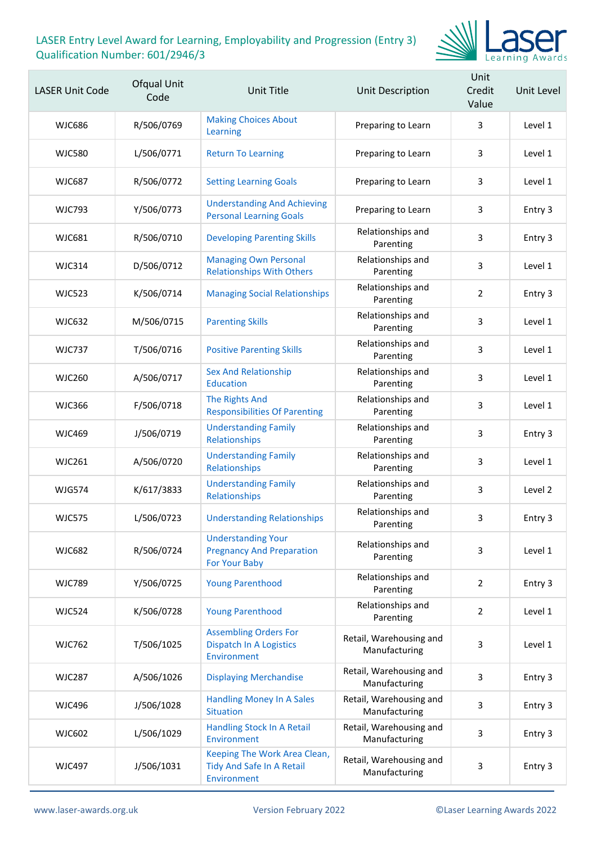

| <b>LASER Unit Code</b> | Ofqual Unit<br>Code | <b>Unit Title</b>                                                              | Unit Description                         | Unit<br>Credit<br>Value | Unit Level |
|------------------------|---------------------|--------------------------------------------------------------------------------|------------------------------------------|-------------------------|------------|
| <b>WJC686</b>          | R/506/0769          | <b>Making Choices About</b><br>Learning                                        | Preparing to Learn                       | 3                       | Level 1    |
| <b>WJC580</b>          | L/506/0771          | <b>Return To Learning</b>                                                      | Preparing to Learn                       | 3                       | Level 1    |
| <b>WJC687</b>          | R/506/0772          | <b>Setting Learning Goals</b>                                                  | Preparing to Learn                       | 3                       | Level 1    |
| <b>WJC793</b>          | Y/506/0773          | <b>Understanding And Achieving</b><br><b>Personal Learning Goals</b>           | Preparing to Learn                       | 3                       | Entry 3    |
| <b>WJC681</b>          | R/506/0710          | <b>Developing Parenting Skills</b>                                             | Relationships and<br>Parenting           | 3                       | Entry 3    |
| <b>WJC314</b>          | D/506/0712          | <b>Managing Own Personal</b><br><b>Relationships With Others</b>               | Relationships and<br>Parenting           | 3                       | Level 1    |
| <b>WJC523</b>          | K/506/0714          | <b>Managing Social Relationships</b>                                           | Relationships and<br>Parenting           | $\overline{2}$          | Entry 3    |
| <b>WJC632</b>          | M/506/0715          | <b>Parenting Skills</b>                                                        | Relationships and<br>Parenting           | 3                       | Level 1    |
| <b>WJC737</b>          | T/506/0716          | <b>Positive Parenting Skills</b>                                               | Relationships and<br>Parenting           | 3                       | Level 1    |
| <b>WJC260</b>          | A/506/0717          | <b>Sex And Relationship</b><br><b>Education</b>                                | Relationships and<br>Parenting           | 3                       | Level 1    |
| <b>WJC366</b>          | F/506/0718          | <b>The Rights And</b><br><b>Responsibilities Of Parenting</b>                  | Relationships and<br>Parenting           | 3                       | Level 1    |
| <b>WJC469</b>          | J/506/0719          | <b>Understanding Family</b><br>Relationships                                   | Relationships and<br>Parenting           | 3                       | Entry 3    |
| <b>WJC261</b>          | A/506/0720          | <b>Understanding Family</b><br>Relationships                                   | Relationships and<br>Parenting           | 3                       | Level 1    |
| <b>WJG574</b>          | K/617/3833          | <b>Understanding Family</b><br>Relationships                                   | Relationships and<br>Parenting           | 3                       | Level 2    |
| <b>WJC575</b>          | L/506/0723          | <b>Understanding Relationships</b>                                             | Relationships and<br>Parenting           | 3                       | Entry 3    |
| <b>WJC682</b>          | R/506/0724          | <b>Understanding Your</b><br><b>Pregnancy And Preparation</b><br>For Your Baby | Relationships and<br>Parenting           | 3                       | Level 1    |
| <b>WJC789</b>          | Y/506/0725          | <b>Young Parenthood</b>                                                        | Relationships and<br>Parenting           | $\overline{2}$          | Entry 3    |
| <b>WJC524</b>          | K/506/0728          | <b>Young Parenthood</b>                                                        | Relationships and<br>Parenting           | $\overline{2}$          | Level 1    |
| <b>WJC762</b>          | T/506/1025          | <b>Assembling Orders For</b><br><b>Dispatch In A Logistics</b><br>Environment  | Retail, Warehousing and<br>Manufacturing | 3                       | Level 1    |
| <b>WJC287</b>          | A/506/1026          | <b>Displaying Merchandise</b>                                                  | Retail, Warehousing and<br>Manufacturing | 3                       | Entry 3    |
| <b>WJC496</b>          | J/506/1028          | <b>Handling Money In A Sales</b><br><b>Situation</b>                           | Retail, Warehousing and<br>Manufacturing | 3                       | Entry 3    |
| WJC602                 | L/506/1029          | Handling Stock In A Retail<br>Environment                                      | Retail, Warehousing and<br>Manufacturing | 3                       | Entry 3    |
| <b>WJC497</b>          | J/506/1031          | Keeping The Work Area Clean,<br>Tidy And Safe In A Retail<br>Environment       | Retail, Warehousing and<br>Manufacturing | 3                       | Entry 3    |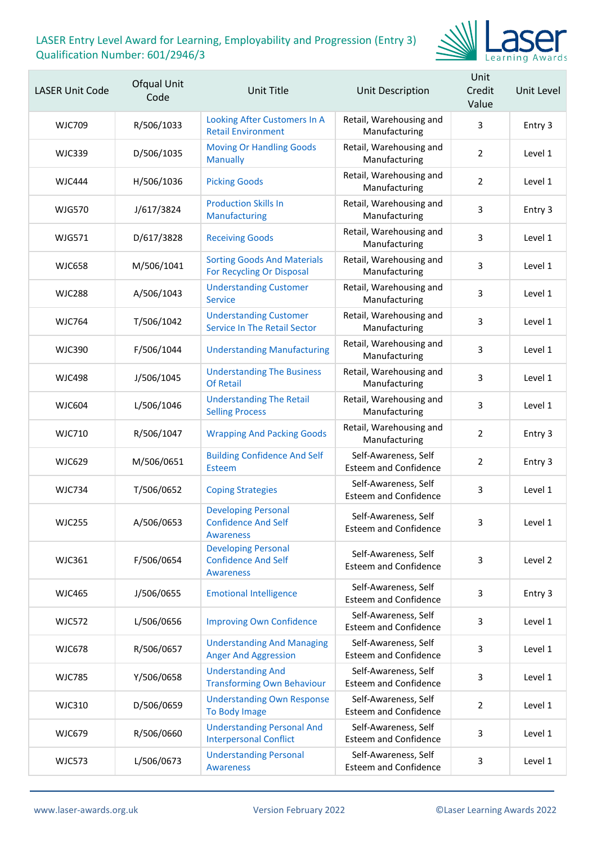

| <b>LASER Unit Code</b> | Ofqual Unit<br>Code | <b>Unit Title</b>                                                            | Unit Description                                     | Unit<br>Credit<br>Value | Unit Level |
|------------------------|---------------------|------------------------------------------------------------------------------|------------------------------------------------------|-------------------------|------------|
| WJC709                 | R/506/1033          | Looking After Customers In A<br><b>Retail Environment</b>                    | Retail, Warehousing and<br>Manufacturing             | 3                       | Entry 3    |
| <b>WJC339</b>          | D/506/1035          | <b>Moving Or Handling Goods</b><br><b>Manually</b>                           | Retail, Warehousing and<br>Manufacturing             | $\overline{2}$          | Level 1    |
| <b>WJC444</b>          | H/506/1036          | <b>Picking Goods</b>                                                         | Retail, Warehousing and<br>Manufacturing             | $\overline{2}$          | Level 1    |
| <b>WJG570</b>          | J/617/3824          | <b>Production Skills In</b><br>Manufacturing                                 | Retail, Warehousing and<br>Manufacturing             | 3                       | Entry 3    |
| WJG571                 | D/617/3828          | <b>Receiving Goods</b>                                                       | Retail, Warehousing and<br>Manufacturing             | 3                       | Level 1    |
| <b>WJC658</b>          | M/506/1041          | <b>Sorting Goods And Materials</b><br>For Recycling Or Disposal              | Retail, Warehousing and<br>Manufacturing             | 3                       | Level 1    |
| <b>WJC288</b>          | A/506/1043          | <b>Understanding Customer</b><br><b>Service</b>                              | Retail, Warehousing and<br>Manufacturing             | 3                       | Level 1    |
| <b>WJC764</b>          | T/506/1042          | <b>Understanding Customer</b><br><b>Service In The Retail Sector</b>         | Retail, Warehousing and<br>Manufacturing             | 3                       | Level 1    |
| <b>WJC390</b>          | F/506/1044          | <b>Understanding Manufacturing</b>                                           | Retail, Warehousing and<br>Manufacturing             | 3                       | Level 1    |
| <b>WJC498</b>          | J/506/1045          | <b>Understanding The Business</b><br><b>Of Retail</b>                        | Retail, Warehousing and<br>Manufacturing             | 3                       | Level 1    |
| <b>WJC604</b>          | L/506/1046          | <b>Understanding The Retail</b><br><b>Selling Process</b>                    | Retail, Warehousing and<br>Manufacturing             | 3                       | Level 1    |
| <b>WJC710</b>          | R/506/1047          | <b>Wrapping And Packing Goods</b>                                            | Retail, Warehousing and<br>Manufacturing             | $\overline{2}$          | Entry 3    |
| <b>WJC629</b>          | M/506/0651          | <b>Building Confidence And Self</b><br><b>Esteem</b>                         | Self-Awareness, Self<br><b>Esteem and Confidence</b> | $\overline{2}$          | Entry 3    |
| <b>WJC734</b>          | T/506/0652          | <b>Coping Strategies</b>                                                     | Self-Awareness, Self<br><b>Esteem and Confidence</b> | 3                       | Level 1    |
| <b>WJC255</b>          | A/506/0653          | <b>Developing Personal</b><br><b>Confidence And Self</b><br><b>Awareness</b> | Self-Awareness, Self<br><b>Esteem and Confidence</b> | 3                       | Level 1    |
| <b>WJC361</b>          | F/506/0654          | <b>Developing Personal</b><br><b>Confidence And Self</b><br><b>Awareness</b> | Self-Awareness, Self<br><b>Esteem and Confidence</b> | 3                       | Level 2    |
| <b>WJC465</b>          | J/506/0655          | <b>Emotional Intelligence</b>                                                | Self-Awareness, Self<br><b>Esteem and Confidence</b> | 3                       | Entry 3    |
| <b>WJC572</b>          | L/506/0656          | <b>Improving Own Confidence</b>                                              | Self-Awareness, Self<br><b>Esteem and Confidence</b> | 3                       | Level 1    |
| <b>WJC678</b>          | R/506/0657          | <b>Understanding And Managing</b><br><b>Anger And Aggression</b>             | Self-Awareness, Self<br><b>Esteem and Confidence</b> | 3                       | Level 1    |
| <b>WJC785</b>          | Y/506/0658          | <b>Understanding And</b><br><b>Transforming Own Behaviour</b>                | Self-Awareness, Self<br><b>Esteem and Confidence</b> | 3                       | Level 1    |
| <b>WJC310</b>          | D/506/0659          | <b>Understanding Own Response</b><br>To Body Image                           | Self-Awareness, Self<br><b>Esteem and Confidence</b> | 2                       | Level 1    |
| <b>WJC679</b>          | R/506/0660          | <b>Understanding Personal And</b><br><b>Interpersonal Conflict</b>           | Self-Awareness, Self<br><b>Esteem and Confidence</b> | 3                       | Level 1    |
| <b>WJC573</b>          | L/506/0673          | <b>Understanding Personal</b><br><b>Awareness</b>                            | Self-Awareness, Self<br><b>Esteem and Confidence</b> | 3                       | Level 1    |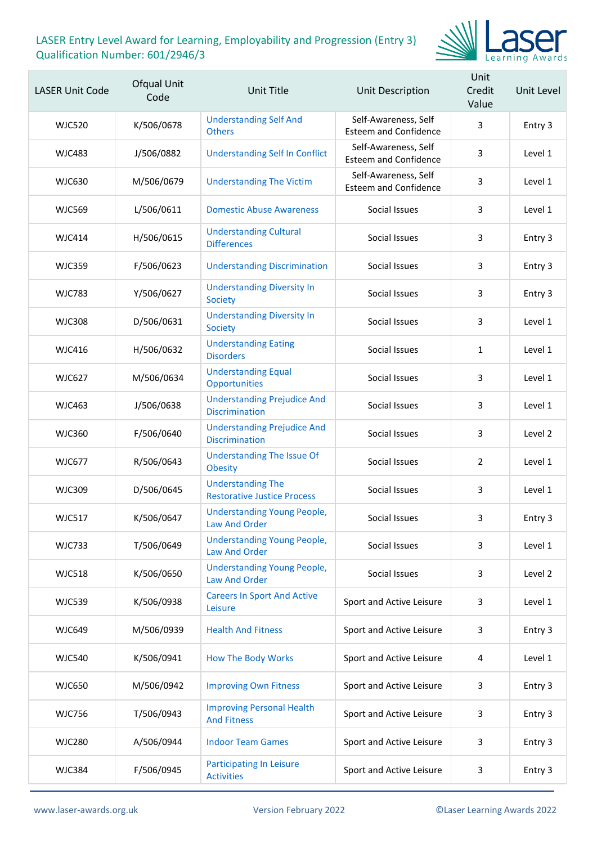

| <b>LASER Unit Code</b> | Ofqual Unit<br>Code | <b>Unit Title</b>                                              | Unit Description                                     | Unit<br>Credit<br>Value | Unit Level |
|------------------------|---------------------|----------------------------------------------------------------|------------------------------------------------------|-------------------------|------------|
| <b>WJC520</b>          | K/506/0678          | <b>Understanding Self And</b><br><b>Others</b>                 | Self-Awareness, Self<br><b>Esteem and Confidence</b> | 3                       | Entry 3    |
| <b>WJC483</b>          | J/506/0882          | <b>Understanding Self In Conflict</b>                          | Self-Awareness, Self<br><b>Esteem and Confidence</b> | 3                       | Level 1    |
| <b>WJC630</b>          | M/506/0679          | <b>Understanding The Victim</b>                                | Self-Awareness, Self<br><b>Esteem and Confidence</b> | 3                       | Level 1    |
| <b>WJC569</b>          | L/506/0611          | <b>Domestic Abuse Awareness</b>                                | Social Issues                                        | 3                       | Level 1    |
| WJC414                 | H/506/0615          | <b>Understanding Cultural</b><br><b>Differences</b>            | Social Issues                                        | 3                       | Entry 3    |
| <b>WJC359</b>          | F/506/0623          | <b>Understanding Discrimination</b>                            | Social Issues                                        | 3                       | Entry 3    |
| <b>WJC783</b>          | Y/506/0627          | <b>Understanding Diversity In</b><br><b>Society</b>            | Social Issues                                        | 3                       | Entry 3    |
| <b>WJC308</b>          | D/506/0631          | <b>Understanding Diversity In</b><br>Society                   | Social Issues                                        | 3                       | Level 1    |
| <b>WJC416</b>          | H/506/0632          | <b>Understanding Eating</b><br><b>Disorders</b>                | Social Issues                                        | $\mathbf{1}$            | Level 1    |
| <b>WJC627</b>          | M/506/0634          | <b>Understanding Equal</b><br>Opportunities                    | Social Issues                                        | 3                       | Level 1    |
| <b>WJC463</b>          | J/506/0638          | <b>Understanding Prejudice And</b><br><b>Discrimination</b>    | Social Issues                                        | 3                       | Level 1    |
| <b>WJC360</b>          | F/506/0640          | <b>Understanding Prejudice And</b><br><b>Discrimination</b>    | Social Issues                                        | 3                       | Level 2    |
| <b>WJC677</b>          | R/506/0643          | <b>Understanding The Issue Of</b><br><b>Obesity</b>            | Social Issues                                        | $\overline{2}$          | Level 1    |
| <b>WJC309</b>          | D/506/0645          | <b>Understanding The</b><br><b>Restorative Justice Process</b> | Social Issues                                        | 3                       | Level 1    |
| <b>WJC517</b>          | K/506/0647          | <b>Understanding Young People,</b><br><b>Law And Order</b>     | Social Issues                                        | 3                       | Entry 3    |
| <b>WJC733</b>          | T/506/0649          | <b>Understanding Young People,</b><br><b>Law And Order</b>     | Social Issues                                        | 3                       | Level 1    |
| <b>WJC518</b>          | K/506/0650          | <b>Understanding Young People,</b><br><b>Law And Order</b>     | Social Issues                                        | 3                       | Level 2    |
| <b>WJC539</b>          | K/506/0938          | <b>Careers In Sport And Active</b><br>Leisure                  | Sport and Active Leisure                             | 3                       | Level 1    |
| <b>WJC649</b>          | M/506/0939          | <b>Health And Fitness</b>                                      | Sport and Active Leisure                             | 3                       | Entry 3    |
| <b>WJC540</b>          | K/506/0941          | <b>How The Body Works</b>                                      | Sport and Active Leisure                             | 4                       | Level 1    |
| <b>WJC650</b>          | M/506/0942          | <b>Improving Own Fitness</b>                                   | Sport and Active Leisure                             | 3                       | Entry 3    |
| <b>WJC756</b>          | T/506/0943          | <b>Improving Personal Health</b><br><b>And Fitness</b>         | Sport and Active Leisure                             | 3                       | Entry 3    |
| <b>WJC280</b>          | A/506/0944          | <b>Indoor Team Games</b>                                       | Sport and Active Leisure                             | 3                       | Entry 3    |
| <b>WJC384</b>          | F/506/0945          | <b>Participating In Leisure</b><br><b>Activities</b>           | Sport and Active Leisure                             | 3                       | Entry 3    |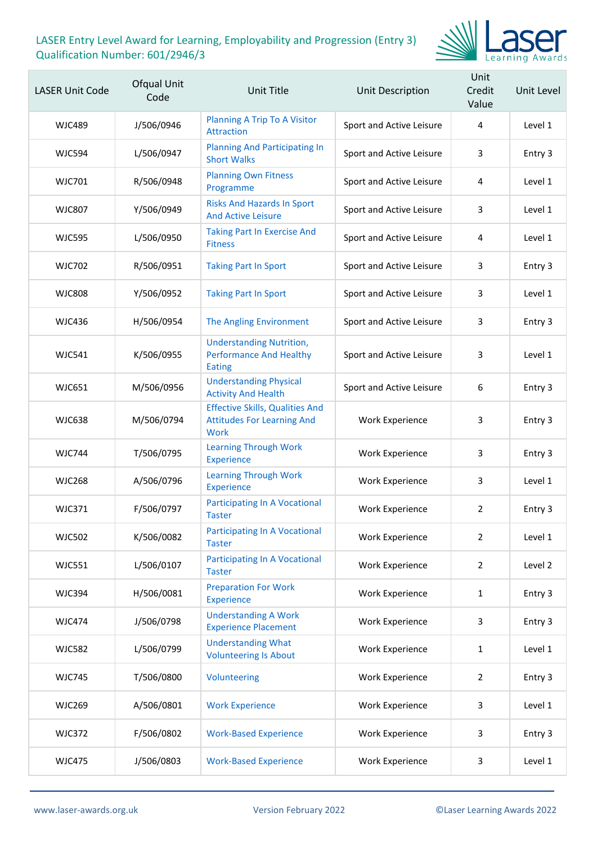

| <b>LASER Unit Code</b> | Ofqual Unit<br>Code | Unit Title                                                                                 | Unit Description         | Unit<br>Credit<br>Value | Unit Level |
|------------------------|---------------------|--------------------------------------------------------------------------------------------|--------------------------|-------------------------|------------|
| <b>WJC489</b>          | J/506/0946          | <b>Planning A Trip To A Visitor</b><br><b>Attraction</b>                                   | Sport and Active Leisure | 4                       | Level 1    |
| <b>WJC594</b>          | L/506/0947          | <b>Planning And Participating In</b><br><b>Short Walks</b>                                 | Sport and Active Leisure | 3                       | Entry 3    |
| <b>WJC701</b>          | R/506/0948          | <b>Planning Own Fitness</b><br>Programme                                                   | Sport and Active Leisure | 4                       | Level 1    |
| <b>WJC807</b>          | Y/506/0949          | <b>Risks And Hazards In Sport</b><br><b>And Active Leisure</b>                             | Sport and Active Leisure | 3                       | Level 1    |
| <b>WJC595</b>          | L/506/0950          | <b>Taking Part In Exercise And</b><br><b>Fitness</b>                                       | Sport and Active Leisure | 4                       | Level 1    |
| <b>WJC702</b>          | R/506/0951          | <b>Taking Part In Sport</b>                                                                | Sport and Active Leisure | 3                       | Entry 3    |
| <b>WJC808</b>          | Y/506/0952          | <b>Taking Part In Sport</b>                                                                | Sport and Active Leisure | 3                       | Level 1    |
| <b>WJC436</b>          | H/506/0954          | <b>The Angling Environment</b>                                                             | Sport and Active Leisure | 3                       | Entry 3    |
| <b>WJC541</b>          | K/506/0955          | <b>Understanding Nutrition,</b><br><b>Performance And Healthy</b><br><b>Eating</b>         | Sport and Active Leisure | 3                       | Level 1    |
| <b>WJC651</b>          | M/506/0956          | <b>Understanding Physical</b><br><b>Activity And Health</b>                                | Sport and Active Leisure | 6                       | Entry 3    |
| <b>WJC638</b>          | M/506/0794          | <b>Effective Skills, Qualities And</b><br><b>Attitudes For Learning And</b><br><b>Work</b> | <b>Work Experience</b>   | 3                       | Entry 3    |
| <b>WJC744</b>          | T/506/0795          | <b>Learning Through Work</b><br><b>Experience</b>                                          | <b>Work Experience</b>   | 3                       | Entry 3    |
| <b>WJC268</b>          | A/506/0796          | <b>Learning Through Work</b><br><b>Experience</b>                                          | <b>Work Experience</b>   | 3                       | Level 1    |
| <b>WJC371</b>          | F/506/0797          | <b>Participating In A Vocational</b><br><b>Taster</b>                                      | <b>Work Experience</b>   | $\overline{2}$          | Entry 3    |
| <b>WJC502</b>          | K/506/0082          | <b>Participating In A Vocational</b><br><b>Taster</b>                                      | <b>Work Experience</b>   | $\overline{2}$          | Level 1    |
| <b>WJC551</b>          | L/506/0107          | <b>Participating In A Vocational</b><br><b>Taster</b>                                      | Work Experience          | $\overline{2}$          | Level 2    |
| <b>WJC394</b>          | H/506/0081          | <b>Preparation For Work</b><br><b>Experience</b>                                           | <b>Work Experience</b>   | $\mathbf{1}$            | Entry 3    |
| <b>WJC474</b>          | J/506/0798          | <b>Understanding A Work</b><br><b>Experience Placement</b>                                 | Work Experience          | 3                       | Entry 3    |
| <b>WJC582</b>          | L/506/0799          | <b>Understanding What</b><br><b>Volunteering Is About</b>                                  | Work Experience          | $\mathbf{1}$            | Level 1    |
| <b>WJC745</b>          | T/506/0800          | Volunteering                                                                               | <b>Work Experience</b>   | 2                       | Entry 3    |
| <b>WJC269</b>          | A/506/0801          | <b>Work Experience</b>                                                                     | Work Experience          | 3                       | Level 1    |
| <b>WJC372</b>          | F/506/0802          | <b>Work-Based Experience</b>                                                               | <b>Work Experience</b>   | 3                       | Entry 3    |
| <b>WJC475</b>          | J/506/0803          | <b>Work-Based Experience</b>                                                               | Work Experience          | 3                       | Level 1    |